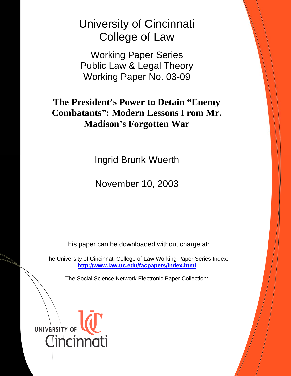University of Cincinnati College of Law

Working Paper Series Public Law & Legal Theory Working Paper No. 03-09

**The President's Power to Detain "Enemy Combatants": Modern Lessons From Mr. Madison's Forgotten War**

Ingrid Brunk Wuerth

November 10, 2003

This paper can be downloaded without charge at:

The University of Cincinnati College of Law Working Paper Series Index: **<http://www.law.uc.edu/facpapers/index.html>**

The Social Science Network Electronic Paper Collection:

UNIVERSITY OF Cincinnati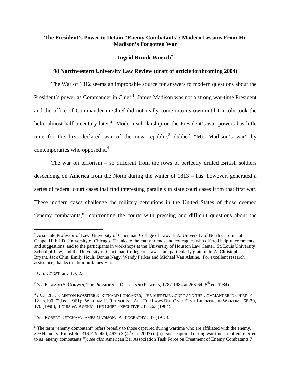## <span id="page-1-5"></span> **The President's Power to Detain "Enemy Combatants": Modern Lessons From Mr. Madison's Forgotten War**

### **Ingrid Brunk Wuerth**[∗](#page-1-0)

### **98 Northwestern University Law Review (draft of article forthcoming 2004)**

The War of 1812 seems an improbable source for answers to modern questions about the President's power as Commander in Chief.<sup>[1](#page-1-1)</sup> James Madison was not a strong war-time President and the office of Commander in Chief did not really come into its own until Lincoln took the helm almost half a century later.<sup>2</sup> Modern scholarship on the President's war powers has little time for the first declared war of the new republic,<sup>3</sup> dubbed "Mr. Madison's war" by contemporaries who opposed it.<sup>4</sup>

The war on terrorism – so different from the rows of perfectly drilled British soldiers descending on America from the North during the winter of 1813 – has, however, generated a series of federal court cases that find interesting parallels in state court cases from that first war. These modern cases challenge the military detentions in the United States of those deemed "enemy combatants,"<sup>5</sup> confronting the courts with pressing and difficult questions about the

<span id="page-1-0"></span><sup>∗</sup> Associate Professor of Law, University of Cincinnati College of Law; B.A. University of North Carolina at Chapel Hill; J.D. University of Chicago. Thanks to the many friends and colleagues who offered helpful comments and suggestions, and to the participants in workshops at the University of Houston Law Center, St. Louis University School of Law, and the University of Cincinnati College of Law. I am particularly grateful to A. Christopher Bryant, Jack Chin, Emily Houh, Donna Nagy, Wendy Parker and Michael Van Alstine. For excellent research assistance, thanks to librarian James Hart.

<span id="page-1-1"></span> $1$  U.S. CONST. art. II, § 2.

<span id="page-1-2"></span><sup>&</sup>lt;sup>2</sup> See EDWARD S. CORWIN, THE PRESIDENT: OFFICE AND POWERS, 1787-1984 at 263-64 ( $5<sup>th</sup>$  ed. 1984).

<span id="page-1-3"></span><sup>&</sup>lt;sup>3</sup> *Id.* at 263; CLINTON ROSSITER & RICHARD LONGAKER, THE SUPREME COURT AND THE COMMANDER IN CHIEF 14, 121 n.100 (2d ed. 1961); WILLIAM H. REHNQUIST, ALL THE LAWS BUT ONE: CIVIL LIBERTIES IN WARTIME 68-70, 170 (1998), LOUIS W. KOENIG, THE CHIEF EXECUTIVE 237-263 (1964).

<span id="page-1-4"></span><sup>4</sup> *See* ROBERT KETCHAM, JAMES MADISON: A BIOGRAPHY 537 (1973).

 $<sup>5</sup>$  The term "enemy combatant" refers broadly to those captured during wartime who are affiliated with the enemy.</sup> See Hamdi v. Rumsfeld, 316 F.3d 450, 463 n.3 (4<sup>th</sup> Cir. 2003) ("[p]ersons captured during wartime are often referred to as 'enemy combatants'"); *see also* American Bar Association Task Force on Treatment of Enemy Combatants 7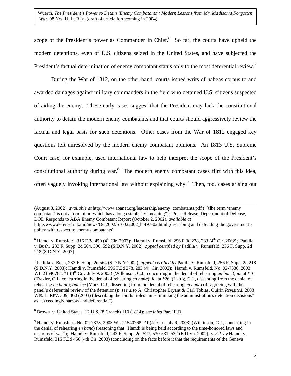<span id="page-2-3"></span>scope of the President's power as Commander in Chief. $6\,$  So far, the courts have upheld the modern detentions, even of U.S. citizens seized in the United States, and have subjected the President's factual determination of enemy combatant status only to the most deferential review.<sup>7</sup>

During the War of 1812, on the other hand, courts issued writs of habeas corpus to and awarded damages against military commanders in the field who detained U.S. citizens suspected of aiding the enemy. These early cases suggest that the President may lack the constitutional authority to detain the modern enemy combatants and that courts should aggressively review the factual and legal basis for such detentions. Other cases from the War of 1812 engaged key questions left unresolved by the modern enemy combatant opinions. An 1813 U.S. Supreme Court case, for example, used international law to help interpret the scope of the President's constitutional authority during war.<sup>8</sup> The modern enemy combatant cases flirt with this idea, often vaguely invoking international law without explaining why.<sup>9</sup> Then, too, cases arising out

 (August 8, 2002), *available at* http://www.abanet.org/leadership/enemy\_combatants.pdf ("[t]he term 'enemy combatant' is not a term of art which has a long established meaning"); Press Release, Department of Defense, DOD Responds to ABA Enemy Combatant Report (October 2, 2002), *available at* http://www.defenselink.mil/news/Oct2002/b10022002\_bt497-02.html (describing and defending the government's policy with respect to enemy combatants).

<span id="page-2-2"></span>8 Brown v. United States, 12 U.S. (8 Cranch) 110 (1814); *see infra* Part III.B.

<span id="page-2-0"></span><sup>&</sup>lt;sup>6</sup> Hamdi v. Rumsfeld, 316 F.3d 450 (4<sup>th</sup> Cir. 2003); Hamdi v. Rumsfeld, 296 F.3d 278, 283 (4<sup>th</sup> Cir. 2002); Padilla v. Bush, 233 F. Supp. 2d 564, 590, 592 (S.D.N.Y. 2002), *appeal certified by* Padilla v. Rumsfeld, 256 F. Supp. 2d 218 (S.D.N.Y. 2003).

<span id="page-2-1"></span><sup>7</sup> Padilla v. Bush, 233 F. Supp. 2d 564 (S.D.N.Y 2002), *appeal certified by* Padilla v. Rumsfeld, 256 F. Supp. 2d 218 (S.D.N.Y. 2003); Hamdi v. Rumsfeld, 296 F.3d 278, 283 (4<sup>th</sup> Cir. 2002); Hamdi v. Rumsfeld, No. 02-7338, 2003 WL 21540768,  $*1$  ( $4<sup>th</sup>$  Cir. July 9, 2003) (Wilkinson, C.J., concurring in the denial of rehearing *en banc*); *id.* at  $*10$ (Traxler, C.J., concurring in the denial of rehearing *en banc*); *id.* at \*26 (Luttig, C.J., dissenting from the denial of rehearing *en banc*); *but see* (Motz, C.J., dissenting from the denial of rehearing *en banc*) (disagreeing with the panel's deferential review of the detentions); *see also* A. Christopher Bryant & Carl Tobias, Quirin *Revisited*, 2003 WIS. L. REV. 309, 360 (2003) (describing the courts' roles "in scrutinizing the administration's detention decisions" as "exceedingly narrow and deferential").

<sup>&</sup>lt;sup>9</sup> Hamdi v. Rumsfeld, No. 02-7338, 2003 WL 21540768,  $*1$  (4<sup>th</sup> Cir. July 9, 2003) (Wilkinson, C.J., concurring in the denial of rehearing *en banc*) (reasoning that "Hamdi is being held according to the time-honored laws and customs of war"); Hamdi v. Rumsfeld, 243 F. Supp. 2d 527, 530-531, 532 (E.D.Va. 2002), *rev'd. by* Hamdi v. Rumsfeld, 316 F.3d 450 (4th Cir. 2003) (concluding on the facts before it that the requirements of the Geneva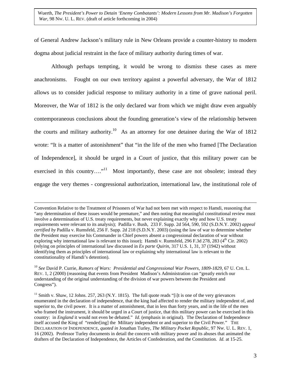of General Andrew Jackson's military rule in New Orleans provide a counter-history to modern dogma about judicial restraint in the face of military authority during times of war.

Although perhaps tempting, it would be wrong to dismiss these cases as mere anachronisms. Fought on our own territory against a powerful adversary, the War of 1812 allows us to consider judicial response to military authority in a time of grave national peril. Moreover, the War of 1812 is the only declared war from which we might draw even arguably contemporaneous conclusions about the founding generation's view of the relationship between the courts and military authority.<sup>10</sup> As an attorney for one detainee during the War of 1812 wrote: "It is a matter of astonishment" that "in the life of the men who framed [The Declaration of Independence], it should be urged in a Court of justice, that this military power can be exercised in this country...."<sup>11</sup> Most importantly, these case are not obsolete; instead they engage the very themes - congressional authorization, international law, the institutional role of

Convention Relative to the Treatment of Prisoners of War had not been met with respect to Hamdi, reasoning that "any determination of these issues would be premature," and then noting that meaningful constitutional review must involve a determination of U.S. treaty requirements, but never explaining exactly why and how U.S. treaty requirements were relevant to its analysis); Padilla v. Bush, 233 F. Supp. 2d 564, 590, 592 (S.D.N.Y. 2002) *appeal certified by* Padilla v. Rumsfeld, 256 F. Supp. 2d 218 (S.D.N.Y. 2003) (using the law of war to determine whether the President may exercise his Commander in Chief powers absent a congressional declaration of war without exploring why international law is relevant to this issue); Hamdi v. Rumsfeld,  $296$  F.3d  $278$ ,  $283$  ( $4<sup>th</sup>$  Cir. 2002) (relying on principles of international law discussed in *Ex parte Quirin*, 317 U.S. 1, 31, 37 (1942) without identifying them as principles of international law or explaining why international law is relevant to the constitutionality of Hamdi's detention).

<span id="page-3-0"></span><sup>10</sup> *See* David P. Currie, *Rumors of Wars: Presidential and Congressional War Powers, 1809-1829*, 67 U. CHI. L. REV. 1, 2 (2000) (reasoning that events from President Madison's Administration can "greatly enrich our understanding of the original understanding of the division of war powers between the President and Congress").

<span id="page-3-1"></span> $11$  Smith v. Shaw, 12 Johns. 257, 263 (N.Y. 1815). The full quote reads "[i]t is one of the very grievances enumerated in the declaration of independence, that the king had affected to render the military independent of, and superior to, the civil power. It is a matter of astonishment, that in less than forty years, and in the life of the men who framed the instrument, it should be urged in a Court of justice, that this military power can be exercised in this country: in *England* it would not even be debated." *Id*. (emphasis in original). The Declaration of Independence itself accused the King of "render[ing] the Military independent or and superior to the Civil Power." THE DECLARATION OF INDEPENDENCE, *quoted in* Jonathan Turley, *The Military Pocket Republic*, 97 NW. U. L. REV. 1, 16 (2002). Professor Turley documents in detail the concern with military power and its abuses that animated the drafters of the Declaration of Independence, the Articles of Confederation, and the Constitution. *Id.* at 15-25.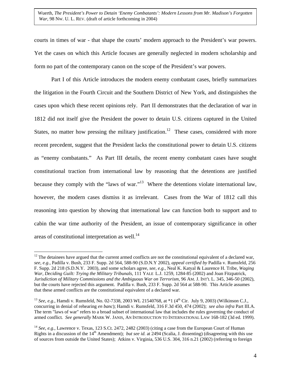<span id="page-4-2"></span>courts in times of war - that shape the courts' modern approach to the President's war powers. Yet the cases on which this Article focuses are generally neglected in modern scholarship and form no part of the contemporary canon on the scope of the President's war powers.

Part I of this Article introduces the modern enemy combatant cases, briefly summarizes the litigation in the Fourth Circuit and the Southern District of New York, and distinguishes the cases upon which these recent opinions rely. Part II demonstrates that the declaration of war in 1812 did not itself give the President the power to detain U.S. citizens captured in the United States, no matter how pressing the military justification.<sup>12</sup> These cases, considered with more recent precedent, suggest that the President lacks the constitutional power to detain U.S. citizens as "enemy combatants." As Part III details, the recent enemy combatant cases have sought constitutional traction from international law by reasoning that the detentions are justified because they comply with the "laws of war."<sup>13</sup> Where the detentions violate international law, however, the modern cases dismiss it as irrelevant. Cases from the War of 1812 call this reasoning into question by showing that international law can function both to support and to cabin the war time authority of the President, an issue of contemporary significance in other areas of constitutional interpretation as well.<sup>14</sup>

<span id="page-4-0"></span> $12$  The detainees have argued that the current armed conflicts are not the constitutional equivalent of a declared war, *see, e.g.,* Padilla v. Bush, 233 F. Supp. 2d 564, 588-90 (S.D.N.Y 2002), *appeal certified by* Padilla v. Rumsfeld, 256 F. Supp. 2d 218 (S.D.N.Y. 2003), and some scholars agree, *see, e.g.,* Neal K. Katyal & Laurence H. Tribe, *Waging War, Deciding Guilt: Trying the Military Tribunals*, 111 YALE L.J. 1259, 1284-85 (2002) and Joan Fitzpatrick, *Jurisdiction of Military Commissions and the Ambiguous War on Terrorism*, 96 AM. J. INT'L L. 345, 346-50 (2002), but the courts have rejected this argument. Padilla v. Bush, 233 F. Supp. 2d 564 at 588-90. This Article assumes that these armed conflicts are the constitutional equivalent of a declared war.

<span id="page-4-1"></span><sup>&</sup>lt;sup>13</sup> *See, e.g.*, Hamdi v. Rumsfeld, No. 02-7338, 2003 WL 21540768, at \*1 (4<sup>th</sup> Cir. July 9, 2003) (Wilkinson C.J., concurring in denial of rehearing *en banc*); Hamdi v. Rumsfeld, 316 F.3d 450, 474 (2002); *see also infra* Part III.A. The term "laws of war" refers to a broad subset of international law that includes the rules governing the conduct of armed conflict*. See generally* MARK W. JANIS, AN INTRODUCTION TO INTERNATIONAL LAW 168-182 (3d ed. 1999).

<sup>&</sup>lt;sup>14</sup> *See, e.g.*, Lawrence v. Texas, 123 S.Ct. 2472, 2482 (2003) (citing a case from the European Court of Human Rights in a discussion of the 14<sup>th</sup> Amendment); *but see id.* at 2494 (Scalia, J. dissenting) (disagreeing with this use of sources from outside the United States); Atkins v. Virginia, 536 U.S. 304, 316 n.21 (2002) (referring to foreign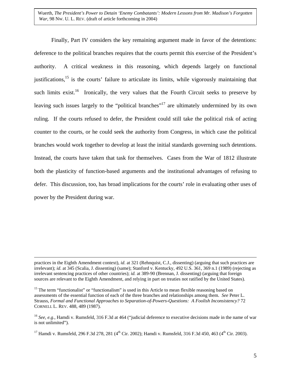Finally, Part IV considers the key remaining argument made in favor of the detentions: deference to the political branches requires that the courts permit this exercise of the President's authority. A critical weakness in this reasoning, which depends largely on functional justifications,<sup>15</sup> is the courts' failure to articulate its limits, while vigorously maintaining that such limits exist.<sup>16</sup> Ironically, the very values that the Fourth Circuit seeks to preserve by leaving such issues largely to the "political branches"<sup>17</sup> are ultimately undermined by its own ruling. If the courts refused to defer, the President could still take the political risk of acting counter to the courts, or he could seek the authority from Congress, in which case the political branches would work together to develop at least the initial standards governing such detentions. Instead, the courts have taken that task for themselves. Cases from the War of 1812 illustrate both the plasticity of function-based arguments and the institutional advantages of refusing to defer. This discussion, too, has broad implications for the courts' role in evaluating other uses of power by the President during war.

practices in the Eighth Amendment context), *id*. at 321 (Rehnquist, C.J., dissenting) (arguing that such practices are irrelevant); *id*. at 345 (Scalia, J. dissenting) (same); Stanford v. Kentucky, 492 U.S. 361, 369 n.1 (1989) (rejecting as irrelevant sentencing practices of other countries); *id.* at 389-90 (Brennan, J. dissenting) (arguing that foreign sources are relevant to the Eighth Amendment, and relying in part on treaties not ratified by the United States).

<span id="page-5-0"></span><sup>&</sup>lt;sup>15</sup> The term "functionalist" or "functionalism" is used in this Article to mean flexible reasoning based on assessments of the essential function of each of the three branches and relationships among them. *See* Peter L. Strauss, *Formal and Functional Approaches to Separation-of-Powers-Questions: A Foolish Inconsistency?* 72 CORNELL L. REV. 488, 489 (1987).

<span id="page-5-1"></span><sup>&</sup>lt;sup>16</sup> *See, e.g.*, Hamdi v. Rumsfeld, 316 F.3d at 464 ("judicial deference to executive decisions made in the name of war is not unlimited").

<span id="page-5-2"></span><sup>&</sup>lt;sup>17</sup> Hamdi v. Rumsfeld, 296 F.3d 278, 281 (4<sup>th</sup> Cir. 2002); Hamdi v. Rumsfeld, 316 F.3d 450, 463 (4<sup>th</sup> Cir. 2003).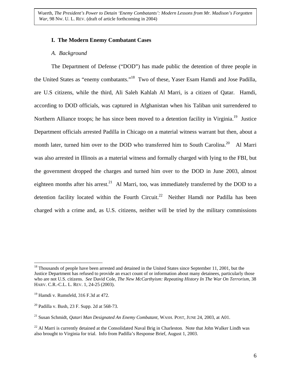## **I. The Modern Enemy Combatant Cases**

### *A. Background*

The Department of Defense ("DOD") has made public the detention of three people in the United States as "enemy combatants.["18](#page-6-0) Two of these, Yaser Esam Hamdi and Jose Padilla, are U.S citizens, while the third, Ali Saleh Kahlah Al Marri, is a citizen of Qatar. Hamdi, according to DOD officials, was captured in Afghanistan when his Taliban unit surrendered to Northern Alliance troops; he has since been moved to a detention facility in Virginia.<sup>19</sup> Justice Department officials arrested Padilla in Chicago on a material witness warrant but then, about a month later, turned him over to the DOD who transferred him to South Carolina.<sup>20</sup> Al Marri was also arrested in Illinois as a material witness and formally charged with lying to the FBI, but the government dropped the charges and turned him over to the DOD in June 2003, almost eighteen months after his arrest.<sup>21</sup> Al Marri, too, was immediately transferred by the DOD to a detention facility located within the Fourth Circuit.<sup>22</sup> Neither Hamdi nor Padilla has been charged with a crime and, as U.S. citizens, neither will be tried by the military commissions

<span id="page-6-0"></span><sup>&</sup>lt;sup>18</sup> Thousands of people have been arrested and detained in the United States since September 11, 2001, but the Justice Department has refused to provide an exact count of or information about many detainees, particularly those who are not U.S. citizens. *See* David Cole, *The New McCarthyism: Repeating History In The War On Terrorism*, 38 HARV. C.R.-C.L. L. REV. 1, 24-25 (2003).

<span id="page-6-1"></span><sup>&</sup>lt;sup>19</sup> Hamdi v. Rumsfeld, 316 F.3d at 472.

<span id="page-6-2"></span><sup>&</sup>lt;sup>20</sup> Padilla v. Bush, 23 F. Supp. 2d at  $568-73$ .

<span id="page-6-3"></span><sup>21</sup> Susan Schmidt, *Qatari Man Designated An Enemy Combatant*, WASH. POST, JUNE 24, 2003, at A01.

<span id="page-6-4"></span> $^{22}$  Al Marri is currently detained at the Consolidated Naval Brig in Charleston. Note that John Walker Lindh was also brought to Virginia for trial. Info from Padilla's Response Brief, August 1, 2003.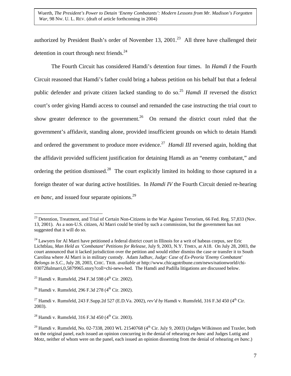authorized by President Bush's order of November 13, 2001.<sup>23</sup> All three have challenged their detention in court through next friends. $^{24}$ 

The Fourth Circuit has considered Hamdi's detention four times. In *Hamdi I* the Fourth Circuit reasoned that Hamdi's father could bring a habeas petition on his behalf but that a federal public defender and private citizen lacked standing to do so[.25](#page-7-2) *Hamdi II* reversed the district court's order giving Hamdi access to counsel and remanded the case instructing the trial court to show greater deference to the government.<sup>26</sup> On remand the district court ruled that the government's affidavit, standing alone, provided insufficient grounds on which to detain Hamdi and ordered the government to produce more evidence.<sup>27</sup> *Hamdi III* reversed again, holding that the affidavit provided sufficient justification for detaining Hamdi as an "enemy combatant," and ordering the petition dismissed.<sup>28</sup> The court explicitly limited its holding to those captured in a foreign theater of war during active hostilities. In *Hamdi IV* the Fourth Circuit denied re-hearing *en banc*, and issued four separate opinions.<sup>[29](#page-7-6)</sup>

 $\overline{a}$ 

<span id="page-7-3"></span> $^{26}$  Hamdi v. Rumsfeld, 296 F.3d 278 (4<sup>th</sup> Cir. 2002).

<span id="page-7-0"></span><sup>&</sup>lt;sup>23</sup> Detention, Treatment, and Trial of Certain Non-Citizens in the War Against Terrorism, 66 Fed. Reg. 57,833 (Nov. 13, 2001). As a non-U.S. citizen, Al Marri could be tried by such a commission, but the government has not suggested that it will do so.

<span id="page-7-1"></span><sup>24</sup> Lawyers for Al Marri have petitioned a federal district court in Illinois for a writ of habeas corpus, *see* Eric Lichtblau, *Man Held as 'Combatant' Petitions for Release*, July 9, 2003, N.Y. TIMES, at A18. On July 28, 2003, the court announced that it lacked jurisdiction over the petition and would either dismiss the case or transfer it to South Carolina where Al Marri is in military custody. Adam Jadhav, *Judge: Case of Ex-Peoria 'Enemy Combatant' Belongs in S.C.*, July 28, 2003, CHIC. TRIB. *available at* http://www.chicagotribune.com/news/nationworld/chi-030728almarri,0,5879965.story?coll=chi-news-hed. The Hamdi and Padilla litigations are discussed below.

<span id="page-7-2"></span><sup>&</sup>lt;sup>25</sup> Hamdi v. Rumsfeld, 294 F.3d 598 ( $4^{\text{th}}$  Cir. 2002).

<span id="page-7-4"></span><sup>&</sup>lt;sup>27</sup> Hamdi v. Rumsfeld, 243 F.Supp.2d 527 (E.D.Va. 2002), *rev'd by* Hamdi v. Rumsfeld, 316 F.3d 450 (4<sup>th</sup> Cir. 2003).

<span id="page-7-5"></span> $^{28}$  Hamdi v. Rumsfeld, 316 F.3d 450 (4<sup>th</sup> Cir. 2003).

<span id="page-7-6"></span><sup>&</sup>lt;sup>29</sup> Hamdi v. Rumsfeld, No. 02-7338, 2003 WL 21540768 ( $4<sup>th</sup>$  Cir. July 9, 2003) (Judges Wilkinson and Traxler, both on the original panel, each issued an opinion concurring in the denial of rehearing *en banc* and Judges Luttig and Motz, neither of whom were on the panel, each issued an opinion dissenting from the denial of rehearing *en banc*.)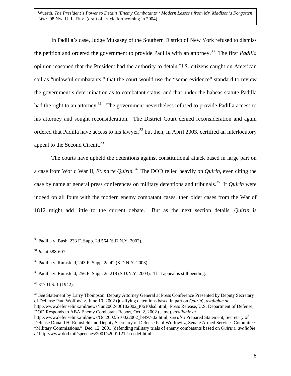In Padilla's case, Judge Mukasey of the Southern District of New York refused to dismiss the petition and ordered the government to provide Padilla with an attorney[.30](#page-8-0) The first *Padilla* opinion reasoned that the President had the authority to detain U.S. citizens caught on American soil as "unlawful combatants," that the court would use the "some evidence" standard to review the government's determination as to combatant status, and that under the habeas statute Padilla had the right to an attorney.<sup>31</sup> The government nevertheless refused to provide Padilla access to his attorney and sought reconsideration. The District Court denied reconsideration and again ordered that Padilla have access to his lawyer,<sup>32</sup> but then, in April 2003, certified an interlocutory appeal to the Second Circuit.<sup>33</sup>

The courts have upheld the detentions against constitutional attack based in large part on a case from World War II, *Ex parte Quirin.*[34](#page-8-4) The DOD relied heavily on *Quirin*, even citing the case by name at general press conferences on military detentions and tribunals[.35](#page-8-5) If *Quirin* were indeed on all fours with the modern enemy combatant cases, then older cases from the War of 1812 might add little to the current debate. But as the next section details, *Quirin* is

1

<span id="page-8-3"></span><sup>33</sup> Padilla v. Rumsfeld, 256 F. Supp. 2d 218 (S.D.N.Y. 2003). That appeal is still pending.

<span id="page-8-4"></span>34 317 U.S. 1 (1942).

<span id="page-8-5"></span><sup>35</sup> See Statement by Larry Thompson, Deputy Attorney General at Press Conference Presented by Deputy Secretary of Defense Paul Wolfowitz, June 10, 2002 (justifying detentions based in part on *Quirin*), *available at* http://www.defenselink.mil/news/Jun2002/t06102002\_t0610dsd.html; Press Release, U.S. Department of Defense, DOD Responds to ABA Enemy Combatant Report, Oct. 2, 2002 (same), *available at* http://www.defenselink.mil/news/Oct2002/b10022002\_bt497-02.html; *see also* Prepared Statement, Secretary of Defense Donald H. Rumsfeld and Deputy Secretary of Defense Paul Wolfowitz, Senate Armed Services Committee "Military Commissions," Dec. 12, 2001 (defending military trials of enemy combatants based on *Quirin*), *available at* http://www.dod.mil/speeches/2001/s20011212-secdef.html.

<span id="page-8-0"></span><sup>30</sup> Padilla v. Bush, 233 F. Supp. 2d 564 (S.D.N.Y. 2002).

<span id="page-8-1"></span><sup>31</sup> *Id*. at 588-607.

<span id="page-8-2"></span><sup>32</sup> Padilla v. Rumsfeld, 243 F. Supp. 2d 42 (S.D.N.Y. 2003).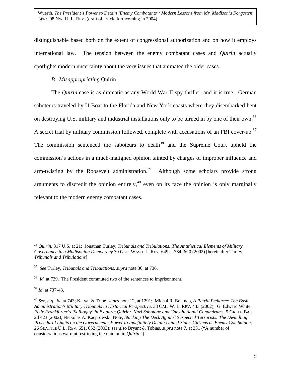distinguishable based both on the extent of congressional authorization and on how it employs international law. The tension between the enemy combatant cases and *Quirin* actually spotlights modern uncertainty about the very issues that animated the older cases.

# *B. Misappropriating* Quirin

The *Quirin* case is as dramatic as any World War II spy thriller, and it is true. German saboteurs traveled by U-Boat to the Florida and New York coasts where they disembarked bent on destroying U.S. military and industrial installations only to be turned in by one of their own.<sup>36</sup> A secret trial by military commission followed, complete with accusations of an FBI cover-up.<sup>37</sup> The commission sentenced the saboteurs to death<sup>38</sup> and the Supreme Court upheld the commission's actions in a much-maligned opinion tainted by charges of improper influence and arm-twisting by the Roosevelt administration.<sup>39</sup> Although some scholars provide strong arguments to discredit the opinion entirely, $40$  even on its face the opinion is only marginally relevant to the modern enemy combatant cases.

<span id="page-9-3"></span><sup>39</sup> *Id*. at 737-43.

1

<span id="page-9-0"></span><sup>36</sup> *Quirin*, 317 U.S. at 21; Jonathan Turley, *Tribunals and Tribulations: The Antithetical Elements of Military Governance in a Madisonian Democracy* 70 GEO. WASH. L. REV. 649 at 734-36 0 (2002) [hereinafter Turley, *Tribunals and Tribulations*]

<span id="page-9-1"></span><sup>37</sup> *See* Turley, *Tribunals and Tribulations*, *supra* note 36, at 736.

<span id="page-9-2"></span><sup>&</sup>lt;sup>38</sup> *Id.* at 739. The President commuted two of the sentences to imprisonment.

<span id="page-9-4"></span><sup>40</sup> *See, e.g,, id*. at 743; Katyal & Tribe, *supra* note 12, at 1291; Michal R. Belknap, *A Putrid Pedigree: The Bush Administration's Military Tribunals in Historical Perspective*, 38 CAL. W. L. REV. 433 (2002); G. Edward White, *Felix Frankfurter's 'Soliloquy' in Ex parte Quirin: Nazi Sabotage and Constitutional Conundrums*, 5 GREEN BAG 2d 423 (2002); Nickolas A. Kacprowski, Note, *Stacking The Deck Against Suspected Terrorists: The Dwindling Procedural Limits on the Government's Power to Indefinitely Detain United States Citizens as Enemy Combatan*t*s*, 26 SEATTLE U.L. REV. 651, 652 (2003); *see also* Bryant & Tobias, *supra* note 7, at 331 ("A number of considerations warrant restricting the opinion in *Quirin.*")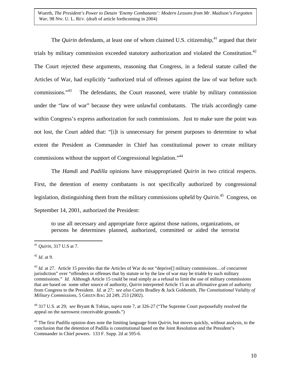The *Quirin* defendants, at least one of whom claimed U.S. citizenship,  $41$  argued that their trials by military commission exceeded statutory authorization and violated the Constitution.<sup>42</sup> The Court rejected these arguments, reasoning that Congress, in a federal statute called the Articles of War, had explicitly "authorized trial of offenses against the law of war before such commissions."[43](#page-10-2) The defendants, the Court reasoned, were triable by military commission under the "law of war" because they were unlawful combatants. The trials accordingly came within Congress's express authorization for such commissions. Just to make sure the point was not lost, the Court added that: "[i]t is unnecessary for present purposes to determine to what extent the President as Commander in Chief has constitutional power to create military commissions without the support of Congressional legislation.["44](#page-10-3)

The *Hamdi* and *Padilla* opinions have misappropriated *Quirin* in two critical respects. First, the detention of enemy combatants is not specifically authorized by congressional legislation, distinguishing them from the military commissions upheld by *Quirin*. [45](#page-10-4) Congress, on September 14, 2001, authorized the President:

to use all necessary and appropriate force against those nations, organizations, or persons he determines planned, authorized, committed or aided the terrorist

 $\overline{a}$ 

<span id="page-10-3"></span>44 317 U.S. at 29; s*ee* Bryant & Tobias, *supra* note 7, at 326-27 ("The Supreme Court purposefully resolved the appeal on the narrowest conceivable grounds.")

<span id="page-10-4"></span>45 The first *Padilla* opinion does note the limiting language from *Quirin*, but moves quickly, without analysis, to the conclusion that the detention of Padilla is constitutional based on the Joint Resolution and the President's Commander in Chief powers. 133 F. Supp. 2d at 595-6.

<span id="page-10-0"></span><sup>41</sup> *Quirin*, 317 U.S at 7.

<span id="page-10-1"></span><sup>42</sup> *Id*. at 9.

<span id="page-10-2"></span><sup>&</sup>lt;sup>43</sup> *Id.* at 27. Article 15 provides that the Articles of War do not "deprive[] military commissions...of concurrent jurisdiction" over "offenders or offenses that by statute or by the law of war may be triable by such military commissions." *Id.* Although Article 15 could be read simply as a refusal to limit the use of military commissions that are based on some other source of authority, *Quirin* interpreted Article 15 as an affirmative grant of authority from Congress to the President. *Id.* at 27; *see also* Curtis Bradley & Jack Goldsmith, *The Constitutional Validity of Military Commissions*, 5 GREEN BAG 2d 249, 253 (2002).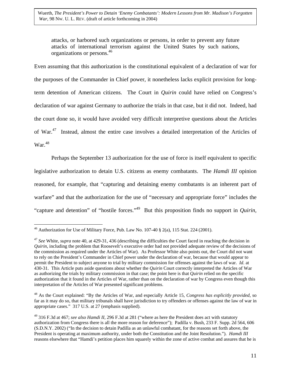<span id="page-11-3"></span>attacks, or harbored such organizations or persons, in order to prevent any future attacks of international terrorism against the United States by such nations, organizations or persons[.46](#page-11-0)

Even assuming that this authorization is the constitutional equivalent of a declaration of war for the purposes of the Commander in Chief power, it nonetheless lacks explicit provision for longterm detention of American citizens. The Court in *Quirin* could have relied on Congress's declaration of war against Germany to authorize the trials in that case, but it did not. Indeed, had the court done so, it would have avoided very difficult interpretive questions about the Articles of War.<sup>47</sup> Instead, almost the entire case involves a detailed interpretation of the Articles of  $\text{War.}^{48}$  $\text{War.}^{48}$  $\text{War.}^{48}$ 

Perhaps the September 13 authorization for the use of force is itself equivalent to specific legislative authorization to detain U.S. citizens as enemy combatants. The *Hamdi III* opinion reasoned, for example, that "capturing and detaining enemy combatants is an inherent part of warfare" and that the authorization for the use of "necessary and appropriate force" includes the "capture and detention" of "hostile forces.["49](#page-11-3) But this proposition finds no support in *Quirin*,

<span id="page-11-0"></span> $\overline{a}$  $46$  Authorization for Use of Military Force, Pub. Law No. 107-40 § 2(a), 115 Stat. 224 (2001).

<span id="page-11-1"></span><sup>47</sup> *See* White, *supra* note 40, at 429-31, 436 (describing the difficulties the Court faced in reaching the decision in *Quirin*, including the problem that Roosevelt's executive order had not provided adequate review of the decisions of the commission as required under the Articles of War). As Professor White also points out, the Court did not want to rely on the President's Commander in Chief power under the declaration of war, because that would appear to permit the President to subject anyone to trial by military commission for offenses against the laws of war. *Id.* at 430-31. This Article puts aside questions about whether the *Quirin* Court correctly interpreted the Articles of War as authorizing the trials by military commission in that case; the point here is that *Quirin* relied on the specific authorization that it found in the Articles of War, rather than on the declaration of war by Congress even though this interpretation of the Articles of War presented significant problems.

<span id="page-11-2"></span><sup>48</sup> As the Court explained: "By the Articles of War, and especially Article 15, *Congress has explicitly provided*, so far as it may do so, that military tribunals shall have jurisdiction to try offenders or offenses against the law of war in appropriate cases." 317 U.S. at 27 (emphasis supplied).

<sup>49 316</sup> F.3d at 467; *see also Hamdi II*, 296 F.3d at 281 ("where as here the President does act with statutory authorization from Congress there is all the more reason for deference"); Padilla v. Bush, 233 F. Supp. 2d 564, 606 (S.D.N.Y. 2002) ("In the decision to detain Padilla as an unlawful combatant, for the reasons set forth above, the President is operating at maximum authority, under both the Constitution and the Joint Resolution."). *Hamdi III* reasons elsewhere that "Hamdi's petition places him squarely within the zone of active combat and assures that he is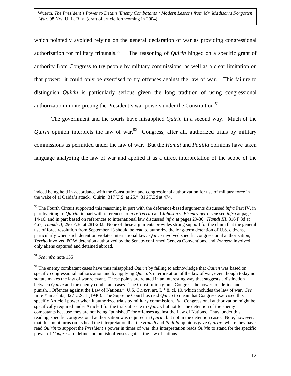which pointedly avoided relying on the general declaration of war as providing congressional authorization for military tribunals.<sup>50</sup> The reasoning of *Quirin* hinged on a specific grant of authority from Congress to try people by military commissions, as well as a clear limitation on that power: it could only be exercised to try offenses against the law of war. This failure to distinguish *Quirin* is particularly serious given the long tradition of using congressional authorization in interpreting the President's war powers under the Constitution.<sup>[51](#page-12-1)</sup>

The government and the courts have misapplied *Quirin* in a second way. Much of the *Quirin* opinion interprets the law of war.<sup>52</sup> Congress, after all, authorized trials by military commissions as permitted under the law of war. But the *Hamdi* and *Padilla* opinions have taken language analyzing the law of war and applied it as a direct interpretation of the scope of the

<span id="page-12-1"></span><sup>51</sup> *See infra* note 135.

indeed being held in accordance with the Constitution and congressional authorization for use of military force in the wake of al Qaida's attack. Quirin, 317 U.S. at 25." 316 F.3d at 474.

<span id="page-12-0"></span><sup>&</sup>lt;sup>50</sup> The Fourth Circuit supported this reasoning in part with the deference-based arguments discussed *infra* Part IV, in part by citing to *Quirin*, in part with references to *in re Territo* and *Johnson v. Eisentrager* discussed *infra* at pages 14-16, and in part based on references to international law discussed *infra* at pages 29-30. *Hamdi III*, 316 F.3d at 467; *Hamdi II*, 296 F.3d at 281-282. None of these arguments provides strong support for the claim that the general use of force resolution from September 13 should be read to authorize the long-term detention of U.S. citizens, particularly when such detention violates international law. *Quirin* involved specific congressional authorization, *Territo* involved POW detention authorized by the Senate-confirmed Geneva Conventions, and *Johnson* involved only aliens captured and detained abroad.

<span id="page-12-2"></span><sup>52</sup> The enemy combatant cases have thus misapplied *Quirin* by failing to acknowledge that *Quirin* was based on specific congressional authorization and by applying *Quirin's* interpretation of the law of war, even though today no statute makes the law of war relevant. These points are related in an interesting way that suggests a distinction between *Quirin* and the enemy combatant cases. The Constitution grants Congress the power to "define and punish…Offences against the Law of Nations," U.S. CONST. art. I, § 8, cl. 10, which includes the law of war. *See* In re Yamashita, 327 U.S. 1 (1946). The Supreme Court has read *Quirin* to mean that Congress exercised this specific Article I power when it authorized trials by military commission. *Id*. Congressional authorization might be specifically required under Article I for the trials at issue in *Quirin*, but not for the detention of the enemy combatants because they are not being "punished" for offenses against the Law of Nations. Thus, under this reading, specific congressional authorization was required in *Quirin*, but not in the detention cases. Note, however, that this point turns on its head the interpretation that the *Hamdi* and *Padilla* opinions gave *Quirin*: where they have read *Quirin* to support the *President's* power in times of war, this interpretation reads *Quirin* to stand for the specific power of *Congress* to define and punish offenses against the law of nations.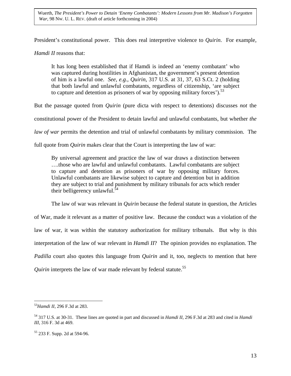President's constitutional power. This does real interpretive violence to *Quirin*. For example,

*Hamdi II* reasons that:

It has long been established that if Hamdi is indeed an 'enemy combatant' who was captured during hostilities in Afghanistan, the government's present detention of him is a lawful one. *See, e.g., Quirin*, 317 U.S. at 31, 37, 63 S.Ct. 2 (holding that both lawful and unlawful combatants, regardless of citizenship, 'are subject to capture and detention as prisoners of war by opposing military forces'). $^{53}$  $^{53}$  $^{53}$ 

But the passage quoted from *Quirin* (pure dicta with respect to detentions) discusses *not* the

constitutional power of the President to detain lawful and unlawful combatants, but whether *the*

*law of war* permits the detention and trial of unlawful combatants by military commission. The

full quote from *Quirin* makes clear that the Court is interpreting the law of war:

By universal agreement and practice the law of war draws a distinction between ….those who are lawful and unlawful combatants. Lawful combatants are subject to capture and detention as prisoners of war by opposing military forces. Unlawful combatants are likewise subject to capture and detention but in addition they are subject to trial and punishment by military tribunals for acts which render their belligerency unlawful. $54$ 

The law of war was relevant in *Quirin* because the federal statute in question, the Articles

of War, made it relevant as a matter of positive law. Because the conduct was a violation of the law of war, it was within the statutory authorization for military tribunals. But why is this interpretation of the law of war relevant in *Hamdi II*? The opinion provides no explanation. The *Padilla* court also quotes this language from *Quirin* and it, too, neglects to mention that here *Quirin* interprets the law of war made relevant by federal statute.<sup>55</sup>

<span id="page-13-0"></span><sup>53</sup>*Hamdi II*, 296 F.3d at 283.

<span id="page-13-1"></span><sup>54 317</sup> U.S. at 30-31. These lines are quoted in part and discussed in *Hamdi II*, 296 F.3d at 283 and cited in *Hamdi III*, 316 F. 3d at 469.

<span id="page-13-2"></span><sup>55 233</sup> F. Supp. 2d at 594-96.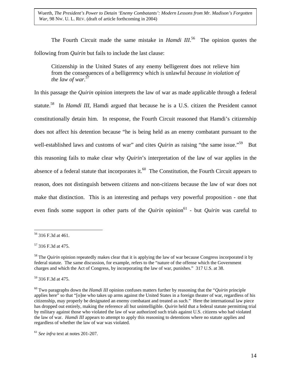The Fourth Circuit made the same mistake in *Hamdi III*.<sup>56</sup> The opinion quotes the following from *Quirin* but fails to include the last clause:

Citizenship in the United States of any enemy belligerent does not relieve him from the consequences of a belligerency which is unlawful *because in violation of the law of war.*[57](#page-14-1)

In this passage the *Quirin* opinion interprets the law of war as made applicable through a federal statute[.58](#page-14-2) In *Hamdi III*, Hamdi argued that because he is a U.S. citizen the President cannot constitutionally detain him. In response, the Fourth Circuit reasoned that Hamdi's citizenship does not affect his detention because "he is being held as an enemy combatant pursuant to the well-established laws and customs of war" and cites *Quirin* as raising "the same issue."<sup>59</sup> But this reasoning fails to make clear why *Quirin*'s interpretation of the law of war applies in the absence of a federal statute that incorporates it.<sup>60</sup> The Constitution, the Fourth Circuit appears to reason, does not distinguish between citizens and non-citizens because the law of war does not make that distinction. This is an interesting and perhaps very powerful proposition - one that even finds some support in other parts of the *Quirin* opinion<sup>61</sup> - but *Quirin* was careful to

<span id="page-14-0"></span><sup>56 316</sup> F.3d at 461.

<span id="page-14-1"></span><sup>57 316</sup> F.3d at 475.

<span id="page-14-2"></span><sup>&</sup>lt;sup>58</sup> The *Quirin* opinion repeatedly makes clear that it is applying the law of war because Congress incorporated it by federal statute. The same discussion, for example, refers to the "nature of the offense which the Government charges and which the Act of Congress, by incorporating the law of war, punishes." 317 U.S. at 38.

<span id="page-14-3"></span><sup>59 316</sup> F.3d at 475.

<span id="page-14-4"></span><sup>60</sup> Two paragraphs down the *Hamdi III* opinion confuses matters further by reasoning that the "*Quirin* principle applies here" so that "[o]ne who takes up arms against the United States in a foreign theater of war, regardless of his citizenship, may properly be designated an enemy combatant and treated as such." Here the international law piece has dropped out entirely, making the reference all but unintelligible. *Quirin* held that a federal statute permitting trial by military against those who violated the law of war authorized such trials against U.S. citizens who had violated the law of war. *Hamdi III* appears to attempt to apply this reasoning to detentions where no statute applies and regardless of whether the law of war was violated.

<span id="page-14-5"></span><sup>61</sup> *See infra* text at notes 201-207.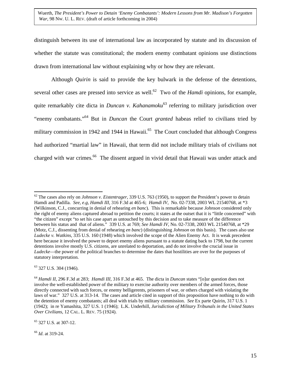distinguish between its use of international law as incorporated by statute and its discussion of whether the statute was constitutional; the modern enemy combatant opinions use distinctions drawn from international law without explaining why or how they are relevant.

Although *Quirin* is said to provide the key bulwark in the defense of the detentions, several other cases are pressed into service as well.<sup>62</sup> Two of the *Hamdi* opinions, for example, quite remarkably cite dicta in *Duncan v. Kahanamoku*<sup>63</sup> referring to military jurisdiction over "enemy combatants.["64](#page-15-2) But in *Duncan* the Court *granted* habeas relief to civilians tried by military commission in 1942 and 1944 in Hawaii.<sup>65</sup> The Court concluded that although Congress had authorized "martial law" in Hawaii, that term did not include military trials of civilians not charged with war crimes.<sup>66</sup> The dissent argued in vivid detail that Hawaii was under attack and

<span id="page-15-1"></span>63 327 U.S. 304 (1946).

 $\overline{a}$ 

<span id="page-15-4"></span><sup>66</sup> *Id*. at 319-24.

<span id="page-15-0"></span><sup>62</sup> The cases also rely on *Johnson v. Eistentrager*, 339 U.S. 763 (1950), to support the President's power to detain Hamdi and Padilla. *See, e.g, Hamdi III,* 316 F.3d at 465-6; *Hamdi IV*, No. 02-7338, 2003 WL 21540768, at \*3 (Wilkinson, C.J., concurring in denial of rehearing *en banc*). This is remarkable because *Johnson* considered only the right of enemy aliens captured abroad to petition the courts; it states at the outset that it is "little concerned" with "the citizen" except "to set his case apart as untouched by this decision and to take measure of the difference between his status and that of aliens." 339 U.S. at 769; *See Hamdi IV*, No. 02-7338, 2003 WL 21540768, at \*29 (Motz, C.J., dissenting from denial of rehearing *en banc*) (distinguishing *Johnson* on this basis). The cases also use *Ludecke v. Watkins*, 335 U.S. 160 (1948) which involved the scope of the Alien Enemy Act. It is weak precedent here because it involved the power to deport enemy aliens pursuant to a statute dating back to 1798, but the current detentions involve mostly U.S. citizens, are unrelated to deportation, and do not involve the crucial issue in *Ludecke*—the power of the political branches to determine the dates that hostilities are over for the purposes of statutory interpretation.

<span id="page-15-2"></span><sup>64</sup> *Hamdi II*, 296 F.3d at 283; *Hamdi III*, 316 F.3d at 465. The dicta in *Duncan* states "[o]ur question does not involve the well-established power of the military to exercise authority over members of the armed forces, those directly connected with such forces, or enemy belligerents, prisoners of war, or others charged with violating the laws of war." 327 U.S. at 313-14. The cases and article cited in support of this proposition have nothing to do with the detention of enemy combatants; all deal with trials by military commission. *See* Ex parte Quirin, 317 U.S. 1 (1942);in re Yamashita, 327 U.S. 1 (1946); L.K. Underhill, *Jurisdiction of Military Tribunals in the United States Over Civilians*, 12 CAL. L. REV. 75 (1924).

<span id="page-15-3"></span><sup>65 327</sup> U.S. at 307-12.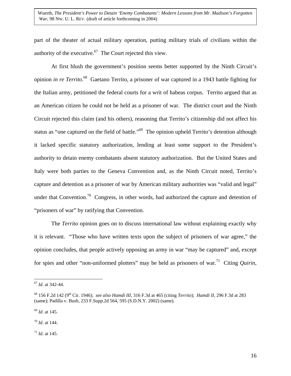part of the theater of actual military operation, putting military trials of civilians within the authority of the executive. $67$  The Court rejected this view.

At first blush the government's position seems better supported by the Ninth Circuit's opinion *in re Territo*. [68](#page-16-1) Gaetano Territo, a prisoner of war captured in a 1943 battle fighting for the Italian army, petitioned the federal courts for a writ of habeas corpus. Territo argued that as an American citizen he could not be held as a prisoner of war. The district court and the Ninth Circuit rejected this claim (and his others), reasoning that Territo's citizenship did not affect his status as "one captured on the field of battle."<sup>69</sup> The opinion upheld Territo's detention although it lacked specific statutory authorization, lending at least some support to the President's authority to detain enemy combatants absent statutory authorization. But the United States and Italy were both parties to the Geneva Convention and, as the Ninth Circuit noted, Territo's capture and detention as a prisoner of war by American military authorities was "valid and legal" under that Convention.<sup>70</sup> Congress, in other words, had authorized the capture and detention of "prisoners of war" by ratifying that Convention.

The *Territo* opinion goes on to discuss international law without explaining exactly why it is relevant. "Those who have written texts upon the subject of prisoners of war agree," the opinion concludes, that people actively opposing an army in war "may be captured" and, except for spies and other "non-uniformed plotters" may be held as prisoners of war[.71](#page-16-4) Citing *Quirin*,

 $\overline{a}$ 

<span id="page-16-2"></span><sup>69</sup> *Id*. at 145.

<span id="page-16-3"></span><sup>70</sup> *Id*. at 144.

<span id="page-16-4"></span><sup>71</sup> *Id*. at 145.

<span id="page-16-0"></span><sup>67</sup> *Id*. at 342-44.

<span id="page-16-1"></span><sup>68 156</sup> F.2d 142 (9th Cir. 1946); *see also Hamdi III*, 316 F.3d at 465 (citing *Territo*); *Hamdi II*, 296 F.3d at 283 (same); Padilla v. Bush, 233 F.Supp.2d 564, 595 (S.D.N.Y. 2002) (same).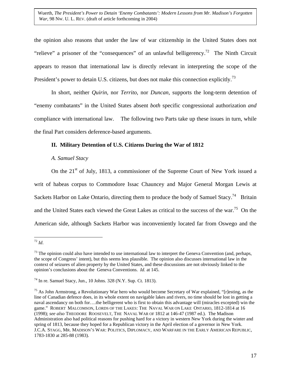the opinion also reasons that under the law of war citizenship in the United States does not "relieve" a prisoner of the "consequences" of an unlawful belligerency.<sup>72</sup> The Ninth Circuit appears to reason that international law is directly relevant in interpreting the scope of the President's power to detain U.S. citizens, but does not make this connection explicitly.<sup>73</sup>

In short, neither *Quirin*, nor *Territo*, nor *Duncan*, supports the long-term detention of "enemy combatants" in the United States absent *both* specific congressional authorization *and* compliance with international law. The following two Parts take up these issues in turn, while the final Part considers deference-based arguments.

# **II. Military Detention of U.S. Citizens During the War of 1812**

## *A. Samuel Stacy*

On the  $21<sup>st</sup>$  of July, 1813, a commissioner of the Supreme Court of New York issued a writ of habeas corpus to Commodore Issac Chauncey and Major General Morgan Lewis at Sackets Harbor on Lake Ontario, directing them to produce the body of Samuel Stacy.<sup>74</sup> Britain and the United States each viewed the Great Lakes as critical to the success of the war[.75](#page-17-3) On the American side, although Sackets Harbor was inconveniently located far from Oswego and the

<span id="page-17-0"></span><sup>1</sup> <sup>72</sup> *Id*.

<span id="page-17-1"></span> $<sup>73</sup>$  The opinion could also have intended to use international law to interpret the Geneva Convention (and, perhaps,</sup> the scope of Congress' intent), but this seems less plausible. The opinion also discusses international law in the context of seizures of alien property by the United States, and these discussions are not obviously linked to the opinion's conclusions about the Geneva Conventions. *Id.* at 145.

<span id="page-17-2"></span> $^{74}$  In re. Samuel Stacy, Jun., 10 Johns. 328 (N.Y. Sup. Ct. 1813).

<span id="page-17-3"></span><sup>&</sup>lt;sup>75</sup> As John Armstrong, a Revolutionary War hero who would become Secretary of War explained, "[r]esting, as the line of Canadian defence does, in its whole extent on navigable lakes and rivers, no time should be lost in getting a naval ascendancy on both for….the belligerent who is first to obtain this advantage will (miracles excepted) win the game." ROBERT MALCOMSON, LORDS OF THE LAKES: THE NAVAL WAR ON LAKE ONTARIO, 1812-1814 at 16 (1998); *see also* THEODORE ROOSEVELT, THE NAVAL WAR OF 1812 at 146-47 (1987 ed.). The Madison Administration also had political reasons for pushing hard for a victory in western New York during the winter and spring of 1813, because they hoped for a Republican victory in the April election of a governor in New York. J.C.A. STAGG, MR. MADISON'S WAR: POLITICS, DIPLOMACY, AND WARFARE IN THE EARLY AMERICAN REPUBLIC, 1783-1830 at 285-88 (1983).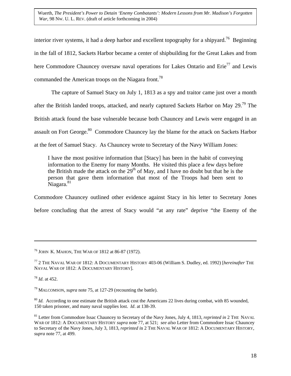interior river systems, it had a deep harbor and excellent topography for a shipyard.<sup>76</sup> Beginning in the fall of 1812, Sackets Harbor became a center of shipbuilding for the Great Lakes and from here Commodore Chauncey oversaw naval operations for Lakes Ontario and  $Erie^{77}$  and Lewis commanded the American troops on the Niagara front.<sup>78</sup>

The capture of Samuel Stacy on July 1, 1813 as a spy and traitor came just over a month after the British landed troops, attacked, and nearly captured Sackets Harbor on May 29.<sup>79</sup> The British attack found the base vulnerable because both Chauncey and Lewis were engaged in an assault on Fort George.<sup>80</sup> Commodore Chauncey lay the blame for the attack on Sackets Harbor at the feet of Samuel Stacy. As Chauncey wrote to Secretary of the Navy William Jones:

I have the most positive information that [Stacy] has been in the habit of conveying information to the Enemy for many Months. He visited this place a few days before the British made the attack on the  $29<sup>th</sup>$  of May, and I have no doubt but that he is the person that gave them information that most of the Troops had been sent to Niagara.<sup>[81](#page-18-5)</sup>

Commodore Chauncey outlined other evidence against Stacy in his letter to Secretary Jones before concluding that the arrest of Stacy would "at any rate" deprive "the Enemy of the

<span id="page-18-0"></span><sup>76</sup> JOHN K. MAHON, THE WAR OF 1812 at 86-87 (1972).

<span id="page-18-1"></span><sup>77 2</sup> THE NAVAL WAR OF 1812: A DOCUMENTARY HISTORY 403-06 (William S. Dudley, ed. 1992) [*hereinafter* THE NAVAL WAR OF 1812: A DOCUMENTARY HISTORY].

<span id="page-18-2"></span><sup>78</sup> *Id*. at 452.

<span id="page-18-3"></span><sup>79</sup> MALCOMSON, *supra* note 75, at 127-29 (recounting the battle).

<span id="page-18-4"></span><sup>&</sup>lt;sup>80</sup> *Id.* According to one estimate the British attack cost the Americans 22 lives during combat, with 85 wounded, 150 taken prisoner, and many naval supplies lost. *Id*. at 138-39.

<span id="page-18-5"></span><sup>81</sup> Letter from Commodore Issac Chauncey to Secretary of the Navy Jones, July 4, 1813, *reprinted in* 2 THE NAVAL WAR OF 1812: A DOCUMENTARY HISTORY *supra* note 77, at 521; *see also* Letter from Commodore Issac Chauncey to Secretary of the Navy Jones, July 3, 1813, *reprinted i*n 2 THE NAVAL WAR OF 1812: A DOCUMENTARY HISTORY, *supra* note 77, at 499.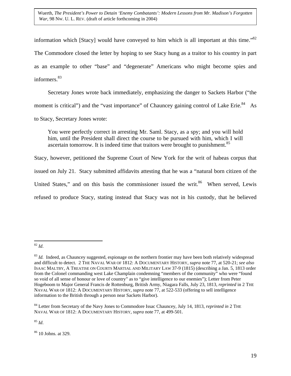information which [Stacy] would have conveyed to him which is all important at this time." $82$ The Commodore closed the letter by hoping to see Stacy hung as a traitor to his country in part as an example to other "base" and "degenerate" Americans who might become spies and informers.<sup>[83](#page-19-1)</sup>

Secretary Jones wrote back immediately, emphasizing the danger to Sackets Harbor ("the moment is critical") and the "vast importance" of Chauncey gaining control of Lake Erie.<sup>84</sup> As to Stacy, Secretary Jones wrote:

You were perfectly correct in arresting Mr. Saml. Stacy, as a spy; and you will hold him, until the President shall direct the course to be pursued with him, which I will ascertain tomorrow. It is indeed time that traitors were brought to punishment.<sup>[85](#page-19-3)</sup>

Stacy, however, petitioned the Supreme Court of New York for the writ of habeas corpus that issued on July 21. Stacy submitted affidavits attesting that he was a "natural born citizen of the United States," and on this basis the commissioner issued the writ.<sup>86</sup> When served, Lewis refused to produce Stacy, stating instead that Stacy was not in his custody, that he believed

<span id="page-19-3"></span><sup>85</sup> *Id*.

<span id="page-19-4"></span>86 10 Johns. at 329.

<span id="page-19-0"></span> $\overline{a}$ <sup>82</sup> *Id*.

<span id="page-19-1"></span><sup>&</sup>lt;sup>83</sup> *Id.* Indeed, as Chauncey suggested, espionage on the northern frontier may have been both relatively widespread and difficult to detect. 2 THE NAVAL WAR OF 1812: A DOCUMENTARY HISTORY, *supra* note 77, at 520-21; *see also* ISAAC MALTBY, A TREATISE ON COURTS MARTIAL AND MILITARY LAW 37-9 (1815) (describing a Jan. 5, 1813 order from the Colonel commanding west Lake Champlain condemning "members of the community" who were "found so void of all sense of honour or love of country" as to "give intelligence to our enemies"); Letter from Peter Hogeboom to Major General Francis de Rottenburg, British Army, Niagara Falls, July 23, 1813*, reprinted* in 2 THE NAVAL WAR OF 1812: A DOCUMENTARY HISTORY, *supra* note 77, at 522-533 (offering to sell intelligence information to the British through a person near Sackets Harbor).

<span id="page-19-2"></span><sup>84</sup> Letter from Secretary of the Navy Jones to Commodore Issac Chauncey, July 14, 1813, *reprinted in* 2 THE NAVAL WAR OF 1812: A DOCUMENTARY HISTORY, *supra* note 77, at 499-501.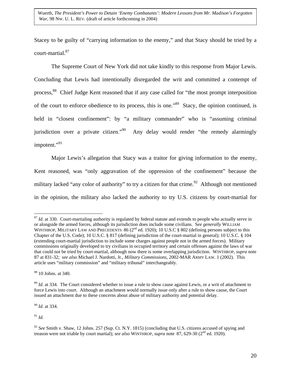Stacey to be guilty of "carrying information to the enemy," and that Stacy should be tried by a court-martial.[87](#page-20-0)

The Supreme Court of New York did not take kindly to this response from Major Lewis. Concluding that Lewis had intentionally disregarded the writ and committed a contempt of process[,88](#page-20-1) Chief Judge Kent reasoned that if any case called for "the most prompt interposition of the court to enforce obedience to its process, this is one."[89](#page-20-2) Stacy, the opinion continued, is held in "closest confinement": by "a military commander" who is "assuming criminal jurisdiction over a private citizen."<sup>90</sup> Any delay would render "the remedy alarmingly impotent."<sup>91</sup>

Major Lewis's allegation that Stacy was a traitor for giving information to the enemy, Kent reasoned, was "only aggravation of the oppression of the confinement" because the military lacked "any color of authority" to try a citizen for that crime.<sup>92</sup> Although not mentioned in the opinion, the military also lacked the authority to try U.S. citizens by court-martial for

<span id="page-20-3"></span><sup>90</sup> *Id.* at 334.

<span id="page-20-4"></span> $^{91}$  *Id.* 

<span id="page-20-0"></span><sup>&</sup>lt;sup>87</sup> *Id.* at 330. Court-martialing authority is regulated by federal statute and extends to people who actually serve in or alongside the armed forces, although its jurisdiction does include some civilians. S*ee generally* WILLIAM WINTHROP, MILITARY LAW AND PRECEDENTS 86 (2<sup>nd</sup> ed. 1920); 10 U.S.C § 802 (defining persons subject to this Chapter of the U.S. Code); 10 U.S.C. § 817 (defining jurisdiction of the court-martial in general); 10 U.S.C. § 104 (extending court-martial jurisdiction to include some charges against people not in the armed forces). Military commissions originally developed to try civilians in occupied territory and certain offenses against the laws of war that could not be tried by court-martial, although now there is some overlapping jurisdiction. WINTHROP, *supra* note 87 at 831-32; *see also* Michael J. Nardotti, Jr., *Military Commissions*, 2002-MAR ARMY LAW. 1 (2002). This article uses "military commission" and "military tribunal" interchangeably.

<span id="page-20-1"></span><sup>88 10</sup> Johns. at 340.

<span id="page-20-2"></span><sup>&</sup>lt;sup>89</sup> *Id.* at 334. The Court considered whether to issue a rule to show cause against Lewis, or a writ of attachment to force Lewis into court. Although an attachment would normally issue only after a rule to show cause, the Court issued an attachment due to these concerns about abuse of military authority and potential delay.

<span id="page-20-5"></span><sup>&</sup>lt;sup>92</sup> See Smith v. Shaw, 12 Johns. 257 (Sup. Ct. N.Y. 1815) (concluding that U.S. citizens accused of spying and treason were not triable by court martial); *see also* WINTHROP, *supra* note 87, 629-30 (2nd ed. 1920).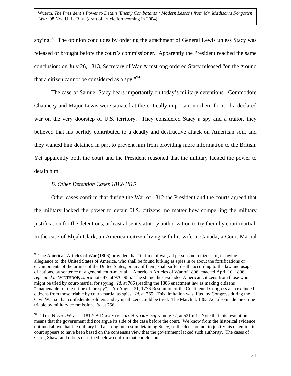spying.<sup>93</sup> The opinion concludes by ordering the attachment of General Lewis unless Stacy was released or brought before the court's commissioner. Apparently the President reached the same conclusion: on July 26, 1813, Secretary of War Armstrong ordered Stacy released "on the ground that a citizen cannot be considered as a spy." $^{94}$  $^{94}$  $^{94}$ 

The case of Samuel Stacy bears importantly on today's military detentions. Commodore Chauncey and Major Lewis were situated at the critically important northern front of a declared war on the very doorstep of U.S. territory. They considered Stacy a spy and a traitor, they believed that his perfidy contributed to a deadly and destructive attack on American soil, and they wanted him detained in part to prevent him from providing more information to the British. Yet apparently both the court and the President reasoned that the military lacked the power to detain him.

## *B. Other Detention Cases 1812-1815*

 $\overline{a}$ 

Other cases confirm that during the War of 1812 the President and the courts agreed that the military lacked the power to detain U.S. citizens, no matter how compelling the military justification for the detentions, at least absent statutory authorization to try them by court martial. In the case of Elijah Clark, an American citizen living with his wife in Canada, a Court Martial

<span id="page-21-0"></span><sup>&</sup>lt;sup>93</sup> The American Articles of War (1806) provided that "in time of war, all persons not citizens of, or owing allegiance to, the United States of America, who shall be found lurking as spies in or about the fortifications or encampments of the armies of the United States, or any of them, shall suffer death, according to the law and usage of nations, by sentence of a general court-martial." American Articles of War of 1806, enacted April 10, 1806, *reprinted in* WINTHROP, *supra* note 87, at 976, 985. The statue thus excluded American citizens from those who might be tried by court-martial for spying. *Id.* at 766 (reading the 1806 enactment law as making citizens "unamenable for the crime of the spy"). An August 21, 1776 Resolution of the Continental Congress also excluded citizens from those triable by court-martial as spies. *Id*. at 765. This limitation was lifted by Congress during the Civil War so that confederate soldiers and sympathizers could be tried. The March 3, 1863 Act also made the crime triable by military commission. *Id*. at 766.

<span id="page-21-1"></span><sup>&</sup>lt;sup>94</sup> 2 THE NAVAL WAR OF 1812: A DOCUMENTARY HISTORY, *supra* note 77, at 521 n.1. Note that this resolution means that the government did not argue its side of the case before the court. We know from the historical evidence outlined above that the military had a strong interest in detaining Stacy, so the decision not to justify his detention in court appears to have been based on the consensus view that the government lacked such authority. The cases of Clark, Shaw, and others described below confirm that conclusion.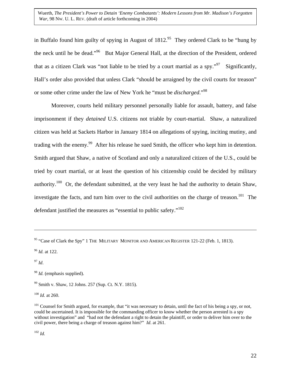in Buffalo found him guilty of spying in August of  $1812<sup>95</sup>$  They ordered Clark to be "hung by the neck until he be dead.["96](#page-22-1) But Major General Hall, at the direction of the President, ordered that as a citizen Clark was "not liable to be tried by a court martial as a spy."<sup>97</sup> Significantly, Hall's order also provided that unless Clark "should be arraigned by the civil courts for treason" or some other crime under the law of New York he "must be *discharged*."[98](#page-22-3)

Moreover, courts held military personnel personally liable for assault, battery, and false imprisonment if they *detained* U.S. citizens not triable by court-martial. Shaw, a naturalized citizen was held at Sackets Harbor in January 1814 on allegations of spying, inciting mutiny, and trading with the enemy.<sup>99</sup> After his release he sued Smith, the officer who kept him in detention. Smith argued that Shaw, a native of Scotland and only a naturalized citizen of the U.S., could be tried by court martial, or at least the question of his citizenship could be decided by military authority.<sup>100</sup> Or, the defendant submitted, at the very least he had the authority to detain Shaw, investigate the facts, and turn him over to the civil authorities on the charge of treason.<sup>101</sup> The defendant justified the measures as "essential to public safety."[102](#page-22-7)

<span id="page-22-1"></span><sup>96</sup> *Id.* at 122.

<span id="page-22-2"></span><sup>97</sup> *Id*.

 $\overline{a}$ 

<span id="page-22-5"></span><sup>100</sup> *Id.* at 260.

<span id="page-22-7"></span><sup>102</sup> *Id.*

<span id="page-22-0"></span><sup>&</sup>lt;sup>95</sup> "Case of Clark the Spy" 1 THE MILITARY MONITOR AND AMERICAN REGISTER 121-22 (Feb. 1, 1813).

<span id="page-22-3"></span><sup>&</sup>lt;sup>98</sup> *Id.* (emphasis supplied).

<span id="page-22-4"></span><sup>99</sup> Smith v. Shaw, 12 Johns. 257 (Sup. Ct. N.Y. 1815).

<span id="page-22-6"></span> $101$  Counsel for Smith argued, for example, that "it was necessary to detain, until the fact of his being a spy, or not, could be ascertained. It is impossible for the commanding officer to know whether the person arrested is a spy without investigation" and "had not the defendant a right to detain the plaintiff, or order to deliver him over to the civil power, there being a charge of treason against him?" *Id*. at 261.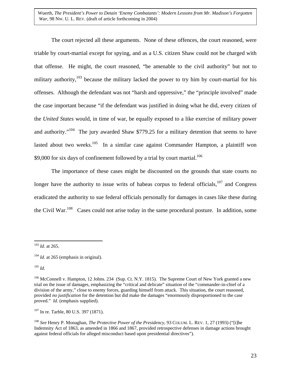The court rejected all these arguments. None of these offences, the court reasoned, were triable by court-martial except for spying, and as a U.S. citizen Shaw could not be charged with that offense. He might, the court reasoned, "be amenable to the civil authority" but not to military authority, $103$  because the military lacked the power to try him by court-martial for his offenses. Although the defendant was not "harsh and oppressive," the "principle involved" made the case important because "if the defendant was justified in doing what he did, every citizen of the *United States* would, in time of war, be equally exposed to a like exercise of military power and authority."<sup>104</sup> The jury awarded Shaw \$779.25 for a military detention that seems to have lasted about two weeks.<sup>105</sup> In a similar case against Commander Hampton, a plaintiff won \$9,000 for six days of confinement followed by a trial by court martial.<sup>106</sup>

The importance of these cases might be discounted on the grounds that state courts no longer have the authority to issue writs of habeas corpus to federal officials, $107$  and Congress eradicated the authority to sue federal officials personally for damages in cases like these during the Civil War.<sup>108</sup> Cases could not arise today in the same procedural posture. In addition, some

<span id="page-23-2"></span><sup>105</sup> *Id.*

<span id="page-23-4"></span><sup>107</sup> In re. Tarble, 80 U.S. 397 (1871).

<span id="page-23-0"></span><sup>1</sup> <sup>103</sup> *Id*. at 265.

<span id="page-23-1"></span> $104$  *Id.* at 265 (emphasis in original).

<span id="page-23-3"></span><sup>&</sup>lt;sup>106</sup> McConnell v. Hampton, 12 Johns. 234 (Sup. Ct. N.Y. 1815). The Supreme Court of New York granted a new trial on the issue of damages, emphasizing the "critical and delicate" situation of the "commander-in-chief of a division of the army," close to enemy forces, guarding himself from attack. This situation, the court reasoned, provided *no justification* for the detention but did make the damages "enormously disproportioned to the case proved." *Id.* (emphasis supplied).

<span id="page-23-5"></span><sup>108</sup> *See* Henry P. Monaghan, *The Protective Power of the Presidency*, 93 COLUM. L. REV. 1, 27 (1993) ("[t]he Indemnity Act of 1863, as amended in 1866 and 1867, provided retrospective defenses in damage actions brought against federal officials for alleged misconduct based upon presidential directives").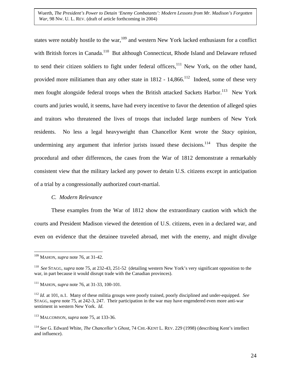states were notably hostile to the war,<sup>109</sup> and western New York lacked enthusiasm for a conflict with British forces in Canada.<sup>110</sup> But although Connecticut, Rhode Island and Delaware refused to send their citizen soldiers to fight under federal officers,<sup>111</sup> New York, on the other hand, provided more militiamen than any other state in  $1812 - 14,866$ .<sup>112</sup> Indeed, some of these very men fought alongside federal troops when the British attacked Sackets Harbor.<sup>113</sup> New York courts and juries would, it seems, have had every incentive to favor the detention of alleged spies and traitors who threatened the lives of troops that included large numbers of New York residents. No less a legal heavyweight than Chancellor Kent wrote the *Stacy* opinion, undermining any argument that inferior jurists issued these decisions.<sup>114</sup> Thus despite the procedural and other differences, the cases from the War of 1812 demonstrate a remarkably consistent view that the military lacked any power to detain U.S. citizens except in anticipation of a trial by a congressionally authorized court-martial.

### *C. Modern Relevance*

These examples from the War of 1812 show the extraordinary caution with which the courts and President Madison viewed the detention of U.S. citizens, even in a declared war, and even on evidence that the detainee traveled abroad, met with the enemy, and might divulge

<span id="page-24-0"></span> $\overline{a}$ 109 MAHON, *supra* note 76, at 31-42.

<span id="page-24-1"></span><sup>110</sup> *See* STAGG, *supra* note 75, at 232-43, 251-52 (detailing western New York's very significant opposition to the war, in part because it would disrupt trade with the Canadian provinces).

<span id="page-24-2"></span><sup>111</sup> MAHON, *supra* note 76, at 31-33, 100-101.

<span id="page-24-3"></span><sup>112</sup> *Id*. at 101, n.1. Many of these militia groups were poorly trained, poorly disciplined and under-equipped. *See* STAGG, *supra* note 75, at 242-3, 247. Their participation in the war may have engendered even more anti-war sentiment in western New York. *Id*.

<span id="page-24-4"></span><sup>113</sup> MALCOMSON, *supra* note 75, at 133-36.

<span id="page-24-5"></span><sup>114</sup> *See* G. Edward White, *The Chancellor's Ghost*, 74 CHI.-KENT L. REV. 229 (1998) (describing Kent's intellect and influence).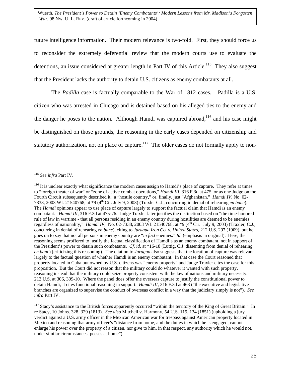future intelligence information. Their modern relevance is two-fold. First, they should force us to reconsider the extremely deferential review that the modern courts use to evaluate the detentions, an issue considered at greater length in Part IV of this Article.<sup>115</sup> They also suggest that the President lacks the authority to detain U.S. citizens as enemy combatants at all.

The *Padilla* case is factually comparable to the War of 1812 cases. Padilla is a U.S. citizen who was arrested in Chicago and is detained based on his alleged ties to the enemy and the danger he poses to the nation. Although Hamdi was captured abroad,<sup>116</sup> and his case might be distinguished on those grounds, the reasoning in the early cases depended on citizenship and statutory authorization, not on place of capture.<sup>117</sup> The older cases do not formally apply to non-

1

<span id="page-25-0"></span><sup>115</sup> *See infra* Part IV.

<span id="page-25-1"></span><sup>&</sup>lt;sup>116</sup> It is unclear exactly what significance the modern cases assign to Hamdi's place of capture. They refer at times to "foreign theater of war" or "zone of active combat operations," *Hamdi III*, 316 F.3d at 475, or as one Judge on the Fourth Circuit subsequently described it, a "hostile country," or, finally, just "Afghanistan." *Hamdi IV*, No. 02- 7338, 2003 WL 21540768, at \*9 (4th Cir. July 9, 2003) (Traxler C.J., concurring in denial of rehearing *en banc*). The *Hamdi* opinions appear to use place of capture largely to support the factual claim that Hamdi *is* an enemy combatant. *Hamdi III*, 316 F.3d at 475-76. Judge Traxler later justifies the distinction based on "the time-honored rule of law in wartime - that all persons residing in an enemy country during hostilities are deemed to be enemies regardless of nationality," *Hamdi IV*, No. 02-7338, 2003 WL 21540768, at \*9 (4th Cir. July 9, 2003) (Traxler, C.J., concurring in denial of rehearing *en banc*), citing to *Juragua Iron Co. v. United States*, 212 U.S. 297 (1909), but he goes on to say that not all persons in enemy country are "*in fact* enemies." *Id.* (emphasis in original). Here, the reasoning seems proffered to justify the factual classification of Hamdi's as an enemy combatant, not in support of the President's power to detain such combatants. *Cf. id.* at \*16-18 (Luttig, C.J. dissenting from denial of rehearing *en banc*) (criticizing this reasoning). The citation to *Juragua* also suggests that the location of capture was relevant largely to the factual question of whether Hamdi is an enemy combatant. In that case the Court reasoned that property located in Cuba but owned by U.S. citizens was "enemy property" and Judge Traxler cites the case for this proposition. But the Court did not reason that the military could do whatever it wanted with such property, reasoning instead that the military could seize property consistent with the law of nations and military necessity. 212 U.S. at 306, 309-10. Where the panel does offer the overseas capture to justify the constitutional power to detain Hamdi, it cites functional reasoning in support. *Hamdi III*, 316 F.3d at 463 ("the executive and legislative branches are organized to supervise the conduct of overseas conflict in a way that the judiciary simply is not"). *See infra* Part IV.

<span id="page-25-2"></span><sup>&</sup>lt;sup>117</sup> Stacy's assistance to the British forces apparently occurred "within the territory of the King of Great Britain." In re Stacy, 10 Johns. 328, 329 (1813). *See also* Mitchell v. Harmony, 54 U.S. 115, 134 (1851) (upholding a jury verdict against a U.S. army officer in the Mexican American war for trespass against American property located in Mexico and reasoning that army officer's "distance from home, and the duties in which he is engaged, cannot enlarge his power over the property of a citizen, nor give to him, in that respect, any authority which he would not, under similar circumstances, posses at home").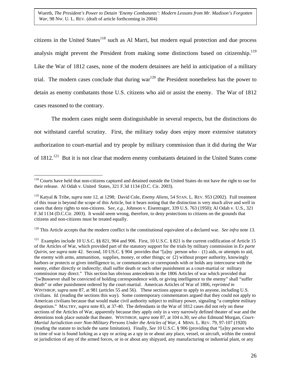<span id="page-26-3"></span>citizens in the United States<sup>118</sup> such as Al Marri, but modern equal protection and due process analysis might prevent the President from making some distinctions based on citizenship.<sup>119</sup> Like the War of 1812 cases, none of the modern detainees are held in anticipation of a military trial. The modern cases conclude that during war<sup>120</sup> the President nonetheless has the power to detain as enemy combatants those U.S. citizens who aid or assist the enemy. The War of 1812 cases reasoned to the contrary.

The modern cases might seem distinguishable in several respects, but the distinctions do not withstand careful scrutiny. First, the military today does enjoy more extensive statutory authorization to court-martial and try people by military commission than it did during the War of 1812.<sup>121</sup> But it is not clear that modern enemy combatants detained in the United States come

<span id="page-26-2"></span>120 This Article accepts that the modern conflict is the constitutional equivalent of a declared war. *See infra* note 13.

<span id="page-26-0"></span> $\overline{a}$ <sup>118</sup> Courts have held that non-citizens captured and detained outside the United States do not have the right to sue for their release. Al Odah v. United States, 321 F.3d 1134 (D.C. Cir. 2003).

<span id="page-26-1"></span><sup>119</sup> Katyal & Tribe, *supra* note 12, at 1298; David Cole, *Enemy Aliens*, 54 STAN. L. REV. 953 (2002). Full treatment of this issue is beyond the scope of this Article, but it bears noting that the distinction is very much alive and well in cases that deny rights to non-citizens. S*ee, e.g.,* Johnson v. Eisentrager, 339 U.S. 763 (1950); Al Odah v. U.S., 321 F.3d 1134 (D.C.Cir. 2003). It would seem wrong, therefore, to deny protections to citizens on the grounds that citizens and non-citizens must be treated equally.

<sup>&</sup>lt;sup>121</sup> Examples include 10 U.S.C. §§ 821, 904 and 906. First, 10 U.S.C. § 821 is the current codification of Article 15 of the Articles of War, which provided part of the statutory support for the trials by military commission in *Ex parte Quirin*, *see supra* note 42. Second, 10 US.C. § 904 provides that "[a]ny person who - (1) aids, or attempts to aid, the enemy with arms, ammunition, supplies, money, or other things; or (2) without proper authority, knowingly harbors or protects or gives intelligence to, or communicates or corresponds with or holds any intercourse with the enemy, either directly or indirectly; shall suffer death or such other punishment as a court-martial or military commission may direct." This section has obvious antecedents in the 1806 Articles of war which provided that "[w]hosoever shall be convicted of holding correspondence with, or giving intelligence to the enemy" shall "suffer death" or other punishment ordered by the court-martial. American Articles of War of 1806, *reprinted in* WINTHROP, *supra* note 87, at 981 (articles 55 and 56). These sections appear to apply to anyone, including U.S. civilians. *Id.* (reading the sections this way). Some contemporary commentators argued that they could not apply to American civilians because that would make civil authority subject to military power, signaling "a complete military despotism." MALTBY, *supra* note 83, at 37-40. The defendants in the War of 1812 cases did not rely on these sections of the Articles of War, apparently because they apply only in a very narrowly defined theater of war and the detentions took place outside that theater. WINTHROP, *supra* note 87, at 104 n.30; *see also* Edmund Morgan, *Court-Martial Jurisdiction over Non-Military Persons Under the Articles of War*, 4 MINN. L. REV. 79, 97-107 (1920) (reading the statute to include the same limitation). Finally, *See* 10 U.S.C. § 906 (providing that "[a]ny person who in time of war is found lurking as a spy or acting as a spy in or about any place, vessel, or aircraft, within the control or jurisdiction of any of the armed forces, or in or about any shipyard, any manufacturing or industrial plant, or any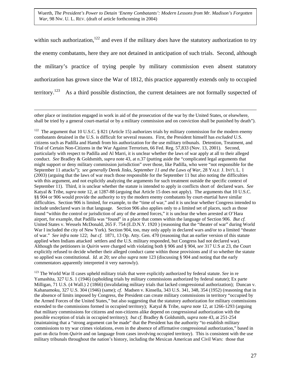<span id="page-27-1"></span>Wuerth, *The President's Power to Detain 'Enemy Combatants': Modern Lessons from Mr. Madison's Forgotten War*, 98 NW. U. L. REV. (draft of article forthcoming in 2004)

within such authorization,<sup>122</sup> and even if the military *does* have the statutory authorization to try the enemy combatants, here they are not detained in anticipation of such trials. Second, although the military's practice of trying people by military commission even absent statutory authorization has grown since the War of 1812, this practice apparently extends only to occupied territory.<sup>123</sup> As a third possible distinction, the current detainees are not formally suspected of

 other place or institution engaged in work in aid of the prosecution of the war by the United States, or elsewhere, shall be tried by a general court-martial or by a military commission and on conviction shall be punished by death").

<span id="page-27-0"></span><sup>122</sup> The argument that 10 U.S.C. § 821 (Article 15) authorizes trials by military commission for the modern enemy combatants detained in the U.S. is difficult for several reasons. First, the President himself has *excluded* U.S. citizens such as Padilla and Hamdi from his authorization for the use military tribunals. Detention, Treatment, and Trial of Certain Non-Citizens in the War Against Terrorism, 66 Fed. Reg. 57,833 (Nov. 13, 2001). Second, particularly with respect to Padilla and Al Marri, it is unclear whether the laws of war apply at all to their alleged conduct. *See* Bradley & Goldsmith, *supra* note 43, at n.37 (putting aside the "complicated legal arguments that might support or deny military commission jurisdiction" over those, like Padilla, who were "not responsible for the September 11 attacks"); *see generally* Derek Jinks, *September 11 and the Laws of War*, 28 YALE J. INT'L L. 1 (2003) (arguing that the laws of war reach those responsible for the September 11 but also noting the difficulties with this argument, and not explicitly analyzing the arguments for such treatment outside the specific context of September 11). Third, it is unclear whether the statute is intended to apply in conflicts short of declared wars. *See* Katyal & Tribe, *supra* note 12, at 1287-88 (arguing that Article 15 does not apply). The arguments that 10 U.S.C. §§ 904 or 906 would provide the authority to try the modern enemy combatants by court-martial have similar difficulties. Section 906 is limited, for example, to the "time of war," and it is unclear whether Congress intended to include undeclared wars in that language. Section 906 also applies only to a limited set of places, such as those found "within the control or jurisdiction of any of the armed forces," it is unclear the when arrested at O'Hara airport, for example, that Padilla was "found" in a place that comes within the language of Section 906. *But cf.* United States v. Wessels McDonald, 265 F. 754 (E.D.N.Y. 1920 ) (reasoning that the "theater of war" during World War I included the city of New York). Section 904, too, may only apply in declared wars and/or to a limited "theater of war." *See infra* note 122; *but cf.* 1871, 13 Op. Atty. Gen. 470 (reasoning that an earlier version of this statute applied when Indians attacked settlers and the U.S. military responded, but Congress had not declared war). Although the petitioners in *Quirin* were charged with violating both § 906 and § 904, *see* 317 U.S at 23, the Court explicitly refused to decide whether their alleged conduct came within those provisions and if so whether the statute so applied was constitutional. *Id.* at 20; *see also supra* note 123 (discussing § 904 and noting that the early commentators apparently interpreted it very narrowly).

123 The World War II cases upheld military trials that were explicitly authorized by federal statute. *See* in re Yamashita, 327 U.S. 1 (1946) (upholding trials by military commissions authorized by federal statute); Ex parte Milligan, 71 U.S. (4 Wall.) 2 (1866) (invalidating military trials that lacked congressional authorization); Duncan v. Kahanamoku, 327 U.S. 304 (1946) (same); *cf*. Madsen v. Kinsella, 343 U.S. 341, 348, 354 (1952) (reasoning that in the absence of limits imposed by Congress, the President can create military commissions in territory "occupied by the Armed Forces of the United States," but also suggesting that the statutory authorization for military commissions extended to the commissions formed in occupied territory); Katyal & Tribe, *supra* note 12, at 1266-1293 (arguing that military commissions for citizens and non-citizens alike depend on congressional authorization with the possible exception of trials in occupied territory); *but cf.* Bradley & Goldsmith, *supra* note 43, at 251-254 (maintaining that a "strong argument can be made" that the President has the authority "to establish military commissions to try war crimes violations, even in the absence of affirmative congressional authorization," based in part on dicta from *Quirin* and on language from cases involving occupied territory). This is consistent with the use military tribunals throughout the nation's history, including the Mexican American and Civil Wars: those that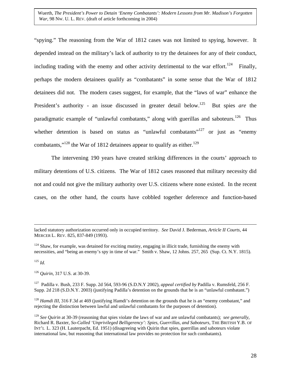"spying." The reasoning from the War of 1812 cases was not limited to spying, however. It depended instead on the military's lack of authority to try the detainees for any of their conduct, including trading with the enemy and other activity detrimental to the war effort.<sup>124</sup> Finally, perhaps the modern detainees qualify as "combatants" in some sense that the War of 1812 detainees did not. The modern cases suggest, for example, that the "laws of war" enhance the President's authority - an issue discussed in greater detail below.<sup>125</sup> But spies *are* the paradigmatic example of "unlawful combatants," along with guerillas and saboteurs.<sup>126</sup> Thus whether detention is based on status as "unlawful combatants"<sup>127</sup> or just as "enemy" combatants,"<sup>128</sup> the War of 1812 detainees appear to qualify as either.<sup>[129](#page-28-5)</sup>

The intervening 190 years have created striking differences in the courts' approach to military detentions of U.S. citizens. The War of 1812 cases reasoned that military necessity did not and could not give the military authority over U.S. citizens where none existed. In the recent cases, on the other hand, the courts have cobbled together deference and function-based

<span id="page-28-0"></span> $124$  Shaw, for example, was detained for exciting mutiny, engaging in illicit trade, furnishing the enemy with necessities, and "being an enemy's spy in time of war." Smith v. Shaw, 12 Johns. 257, 265 (Sup. Ct. N.Y. 1815).

<span id="page-28-1"></span><sup>125</sup> *Id.*

<span id="page-28-2"></span><sup>126</sup> *Quirin*, 317 U.S. at 30-39.

<span id="page-28-3"></span>127 Padilla v. Bush, 233 F. Supp. 2d 564, 593-96 (S.D.N.Y 2002), *appeal certified by* Padilla v. Rumsfeld, 256 F. Supp. 2d 218 (S.D.N.Y. 2003) (justifying Padilla's detention on the grounds that he is an "unlawful combatant.")

<span id="page-28-4"></span><sup>128</sup> *Hamdi III*, 316 F.3d at 469 (justifying Hamdi's detention on the grounds that he is an "enemy combatant," and rejecting the distinction between lawful and unlawful combatants for the purposes of detention).

lacked statutory authorization occurred only in occupied territory. *See* David J. Bederman, *Article II Courts*, 44 MERCER L. REV. 825, 837-849 (1993).

<span id="page-28-5"></span><sup>129</sup> *See Quirin* at 30-39 (reasoning that spies violate the laws of war and are unlawful combatants); *see generally*, Richard R. Baxter, *So-Called 'Unprivileged Belligerency': Spies, Guerrillas, and Saboteurs*, THE BRITISH Y.B. OF INT'L L. 323 (H. Lauterpacht, Ed. 1951) (disagreeing with Quirin that spies, guerrillas and saboteurs violate international law, but reasoning that international law provides no protection for such combatants).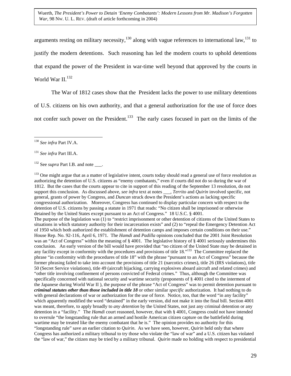<span id="page-29-3"></span>arguments resting on military necessity,<sup>130</sup> along with vague references to international law,<sup>131</sup> to justify the modern detentions. Such reasoning has led the modern courts to uphold detentions that expand the power of the President in war-time well beyond that approved by the courts in World War II.<sup>[132](#page-29-2)</sup>

The War of 1812 cases show that the President lacks the power to use military detentions of U.S. citizens on his own authority, and that a general authorization for the use of force does not confer such power on the President.<sup>133</sup> The early cases focused in part on the limits of the

1

<sup>133</sup> One might argue that as a matter of legislative intent, courts today should read a general use of force resolution as authorizing the detention of U.S. citizens as "enemy combatants," even if courts did not do so during the war of 1812. But the cases that the courts appear to cite in support of this reading of the September 13 resolution, do not support this conclusion. As discussed above, *see infra* text at notes \_\_\_, *Territo* and *Quirin* involved specific, not general, grants of power by Congress, and *Duncan* struck down the President's actions as lacking specific congressional authorization. Moreover, Congress has continued to display particular concern with respect to the detention of U.S. citizens by passing a statute in 1971 that reads: "No citizen shall be imprisoned or otherwise detained by the United States except pursuant to an Act of Congress." 18 U.S.C. § 4001. The purpose of the legislation was (1) to "restrict imprisonment or other detention of citizens of the United States to situations in which statutory authority for their incarceration exists" and (2) to "repeal the Emergency Detention Act of 1950 which both authorized the establishment of detention camps and imposes certain conditions on their use." House Rep. No. 92-116, April 6, 1971. The *Hamdi* and *Padilla* opinions concluded that the 2001 Joint Resolution was an "Act of Congress" within the meaning of § 4001. The legislative history of § 4001 seriously undermines this conclusion. An early version of the bill would have provided that "no citizen of the United State may be detained in any facility except in conformity with the procedures and provisions of title 18."<sup>133</sup> The Committee replaced the phrase "in conformity with the procedures of title 18" with the phrase "pursuant to an Act of Congress" because the former phrasing failed to take into account the provisions of title 21 (narcotics crimes), title 26 (IRS violations), title 50 (Secret Service violations), title 49 (aircraft hijacking, carrying explosives aboard aircraft and related crimes) and "other title involving confinement of persons convicted of Federal crimes." Thus, although the Committee was specifically concerned with national security and wartime security (proponents of § 4001 cited to the interment of the Japanese during World War II ), the purpose of the phrase "Act of Congress" was to permit detention pursuant to *criminal statutes other than those included in title 18* or other similar *specific* authorization. It had nothing to do with general declarations of war or authorization for the use of force. Notice, too, that the word "in any facility" which apparently modified the word "detained" in the early version, did not make it into the final bill. Section 4001 was meant, therefore, to apply broadly to *any detention* by the United States, not just any criminal detention or any detention in a "facility." The *Hamdi* court reasoned, however, that with § 4001, Congress could not have intended to overrule "the longstanding rule that an armed and hostile American citizen capture on the battlefield during wartime may be treated like the enemy combatant that he is." The opinion provides no authority for this "longstanding rule" save an earlier citation to *Quirin*. As we have seen, however, *Quirin* held only that where Congress has authorized a military tribunal to try those who violate the "law of war" and a U.S. citizen has violated the "law of war," the citizen may be tried by a military tribunal. *Quirin* made no holding with respect to presidential

<span id="page-29-0"></span><sup>130</sup> *See infra* Part IV.A.

<span id="page-29-1"></span><sup>131</sup> *See infra* Part III.A.

<span id="page-29-2"></span><sup>&</sup>lt;sup>132</sup> See *supra* Part I.B. and note .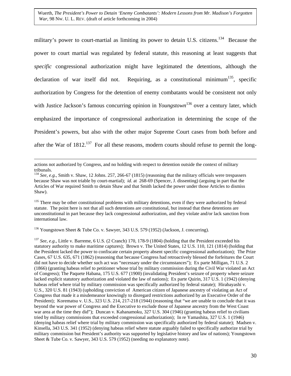military's power to court-martial as limiting its power to detain U.S. citizens.<sup>134</sup> Because the power to court martial was regulated by federal statute, this reasoning at least suggests that *specific* congressional authorization might have legitimated the detentions, although the declaration of war itself did not. Requiring, as a constitutional minimum<sup>135</sup>, specific authorization by Congress for the detention of enemy combatants would be consistent not only with Justice Jackson's famous concurring opinion in *Youngstown*<sup>[136](#page-30-2)</sup> over a century later, which emphasized the importance of congressional authorization in determining the scope of the President's powers, but also with the other major Supreme Court cases from both before and after the War of  $1812$ <sup> $137$ </sup> For all these reasons, modern courts should refuse to permit the long-

<span id="page-30-1"></span><sup>135</sup> There may be other constitutional problems with military detentions, even if they were authorized by federal statute. The point here is not that all such detentions are constitutional, but instead that these detentions are unconstitutional in part because they lack congressional authorization, and they violate and/or lack sanction from international law.

<span id="page-30-2"></span>136 Youngstown Sheet & Tube Co. v. Sawyer, 343 U.S. 579 (1952) (Jackson, J. concurring).

<span id="page-30-3"></span><sup>137</sup> *See, e.g.*, Little v. Barreme, 6 U.S. (2 Cranch) 170, 178-9 (1804) (holding that the President exceeded his statutory authority to make maritime captures); Brown v. The United States, 12 U.S. 110, 121 (1814) (holding that the President lacked the power to confiscate certain property absent specific congressional authorization); The Prize Cases, 67 U.S. 635, 671 (1862) (reasoning that because Congress had retroactively blessed the forfeitures the Court did not have to decide whether such act was "necessary under the circumstances"); Ex parte Milligan, 71 U.S. 2 (1866) (granting habeas relief to petitioner whose trial by military commission during the Civil War violated an Act of Congress); The Paquete Habana, 175 U.S. 677 (1900) (invalidating President's seizure of property where seizure lacked explicit statutory authorization and violated the law of nations); Ex parte Quirin, 317 U.S. 1 (1942) (denying habeas relief where trial by military commission was specifically authorized by federal statute); Hirabayashi v. U.S., 320 U.S. 81 (1943) (upholding conviction of American citizen of Japanese ancestry of violating an Act of Congress that made it a misdemeanor knowingly to disregard restrictions authorized by an Executive Order of the President); Korematsu v. U.S., 323 U.S. 214, 217-218 (1944) (reasoning that "we are unable to conclude that it was beyond the war power of Congress and the Executive to exclude those of Japanese ancestry from the West Coast war area at the time they did"); Duncan v. Kahanamoku, 327 U.S. 304 (1946) (granting habeas relief to civilians tried by military commissions that exceeded congressional authorization); In re Yamashita, 327 U.S. 1 (1946) (denying habeas relief where trial by military commission was specifically authorized by federal statute); Madsen v. Kinsella, 343 U.S. 341 (1952) (denying habeas relief where statute arguably failed to specifically authorize trial by military commission but President's authority was supported by legislative history and law of nations); Youngstown Sheet & Tube Co. v. Sawyer, 343 U.S. 579 (1952) (needing no explanatory note).

actions not authorized by Congress, and no holding with respect to detention outside the context of military tribunals.

<span id="page-30-0"></span><sup>134</sup> *See, e.g.*, Smith v. Shaw, 12 Johns. 257, 266-67 (1815) (reasoning that the military officials were trespassers because Shaw was not triable by court-martial); *id*. at 268-69 (Spencer, J. dissenting) (arguing in part that the Articles of War required Smith to detain Shaw and that Smith lacked the power under those Articles to dismiss Shaw).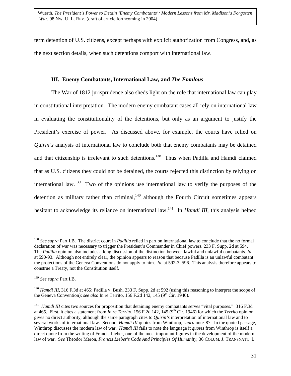<span id="page-31-3"></span>term detention of U.S. citizens, except perhaps with explicit authorization from Congress, and, as the next section details, when such detentions comport with international law.

## **III. Enemy Combatants, International Law, and** *The Emulous*

The War of 1812 jurisprudence also sheds light on the role that international law can play in constitutional interpretation. The modern enemy combatant cases all rely on international law in evaluating the constitutionality of the detentions, but only as an argument to justify the President's exercise of power. As discussed above, for example, the courts have relied on *Quirin's* analysis of international law to conclude both that enemy combatants may be detained and that citizenship is irrelevant to such detentions.<sup>138</sup> Thus when Padilla and Hamdi claimed that as U.S. citizens they could not be detained, the courts rejected this distinction by relying on international law.[139](#page-31-1) Two of the opinions use international law to verify the purposes of the detention as military rather than criminal, $140$  although the Fourth Circuit sometimes appears hesitant to acknowledge its reliance on international law[.141](#page-31-3) In *Hamdi III*, this analysis helped

<span id="page-31-0"></span><sup>138</sup> *See supra* Part I.B. The district court in *Padilla* relied in part on international law to conclude that the no formal declaration of war was necessary to trigger the President's Commander in Chief powers. 233 F. Supp. 2d at 594. The *Padilla* opinion also includes a long discussion of the distinction between lawful and unlawful combatants. *Id.* at 590-93. Although not entirely clear, the opinion appears to reason that because Padilla is an unlawful combatant the protections of the Geneva Conventions do not apply to him. *Id.* at 592-3, 596. This analysis therefore appears to construe a Treaty, not the Constitution itself.

<span id="page-31-1"></span><sup>139</sup> *See supra* Part I.B.

<span id="page-31-2"></span><sup>&</sup>lt;sup>140</sup> *Hamdi III*, 316 F.3d at 465; Padilla v. Bush, 233 F. Supp. 2d at 592 (using this reasoning to interpret the scope of the Geneva Convention); *see also* In re Territo, 156 F.2d 142, 145 (9<sup>th</sup> Cir. 1946).

<sup>&</sup>lt;sup>141</sup> *Hamdi III* cites two sources for proposition that detaining enemy combatants serves "vital purposes." 316 F.3d at 465. First, it cites a statement from *In re Territo*, 156 F.2d 142, 145 (9th Cir. 1946) for which the *Territo* opinion gives no direct authority, although the same paragraph cites to *Quirin's* interpretation of international law and to several works of international law. Second, *Hamdi III* quotes from Winthrop, s*upra* note 87. In the quoted passage, Winthrop discusses the modern law of war. *Hamdi III* fails to note the language it *quotes* from Winthrop is itself a direct quote from the writing of Francis Lieber, one of the most important figures in the development of the modern law of war. S*ee* Theodor Meron, *Francis Lieber's Code And Principles Of Humanity*, 36 COLUM. J. TRANSNAT'L L.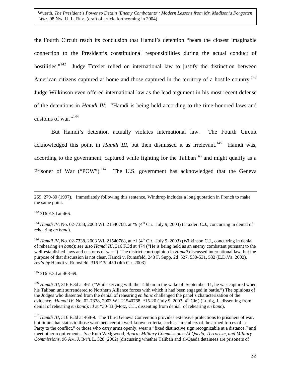<span id="page-32-5"></span>the Fourth Circuit reach its conclusion that Hamdi's detention "bears the closest imaginable connection to the President's constitutional responsibilities during the actual conduct of hostilities. $142$  Judge Traxler relied on international law to justify the distinction between American citizens captured at home and those captured in the territory of a hostile country.<sup>143</sup> Judge Wilkinson even offered international law as the lead argument in his most recent defense of the detentions in *Hamdi IV*: "Hamdi is being held according to the time-honored laws and customs of war."<sup>[144](#page-32-2)</sup>

But Hamdi's detention actually violates international law. The Fourth Circuit acknowledged this point in *Hamdi III*, but then dismissed it as irrelevant.<sup>145</sup> Hamdi was, according to the government, captured while fighting for the Taliban<sup>146</sup> and might qualify as a Prisoner of War ("POW").<sup>147</sup> The U.S. government has acknowledged that the Geneva

<span id="page-32-0"></span> $142$  316 F.3d at 466.

<span id="page-32-1"></span><sup>143</sup> *Hamdi IV*, No. 02-7338, 2003 WL 21540768, at  $*9$  (4<sup>th</sup> Cir. July 9, 2003) (Traxler, C.J., concurring in denial of rehearing *en banc*).

<span id="page-32-2"></span><sup>144</sup> *Hamdi IV*, No. 02-7338, 2003 WL 21540768, at  $*1$  (4<sup>th</sup> Cir. July 9, 2003) (Wilkinson C.J., concurring in denial of rehearing *en banc*); *see also Hamdi III*, 316 F.3d at 474 ("He is being held as an enemy combatant pursuant to the well-established laws and customs of war.") The district court opinion in *Hamdi* discussed international law, but the purpose of that discussion is not clear. Hamdi v. Rumsfeld, 243 F. Supp. 2d 527, 530-531, 532 (E.D.Va. 2002), *rev'd by* Hamdi v. Rumsfeld, 316 F.3d 450 (4th Cir. 2003).

<span id="page-32-3"></span><sup>145</sup> 316 F.3d at 468-69.

<span id="page-32-4"></span><sup>146</sup> *Hamdi III*, 316 F.3d at 461 ("While serving with the Taliban in the wake of September 11, he was captured when his Taliban unit surrendered to Northern Alliance forces with which it had been engaged in battle.") The opinions of the Judges who dissented from the denial of rehearing *en banc* challenged the panel's characterization of the evidence. *Hamdi IV*, No. 02-7338, 2003 WL 21540768, \*15-20 (July 9, 2003, 4<sup>th</sup> Cir.) (Luttig, J., dissenting from denial of rehearing *en banc*); *id* at \*30-33 (Motz, C.J., dissenting from denial of rehearing *en banc*).

 <sup>269, 279-80 (1997).</sup> Immediately following this sentence, Winthrop includes a long quotation in French to make the same point.

<sup>&</sup>lt;sup>147</sup> *Hamdi III*, 316 F.3d at 468-9. The Third Geneva Convention provides extensive protections to prisoners of war, but limits that status to those who meet certain well-known criteria, such as "members of the armed forces of a Party to the conflict," or those who carry arms openly, wear a "fixed distinctive sign recognizable at a distance," and meet other requirements. *See* Ruth Wedgwood, *Agora: Military Commissions: Al Qaeda, Terrorism, and Military Commissions*, 96 AM. J. INT'L L. 328 (2002) (discussing whether Taliban and al-Qaeda detainees are prisoners of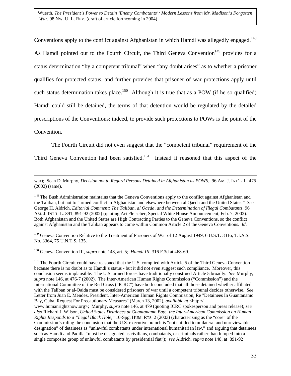<span id="page-33-3"></span>Conventions apply to the conflict against Afghanistan in which Hamdi was allegedly engaged.<sup>148</sup> As Hamdi pointed out to the Fourth Circuit, the Third Geneva Convention<sup>149</sup> provides for a status determination "by a competent tribunal" when "any doubt arises" as to whether a prisoner qualifies for protected status, and further provides that prisoner of war protections apply until such status determination takes place.<sup>150</sup> Although it is true that as a POW (if he so qualified) Hamdi could still be detained, the terms of that detention would be regulated by the detailed prescriptions of the Conventions; indeed, to provide such protections to POWs is the point of the

Convention.

The Fourth Circuit did not even suggest that the "competent tribunal" requirement of the

Third Geneva Convention had been satisfied.<sup>151</sup> Instead it reasoned that this aspect of the

 war); Sean D. Murphy, *Decision not to Regard Persons Detained in Afghanistan as POWS*, 96 AM. J. INT'L L. 475 (2002) (same).

<span id="page-33-0"></span><sup>148</sup> The Bush Administration maintains that the Geneva Conventions apply to the conflict against Afghanistan and the Taliban, but not to "armed conflict in Afghanistan and elsewhere between al Qaeda and the United States." *See* George H. Aldrich, *Editorial Comment: The Taliban, al Qaeda, and the Determination of Illegal Combatants*, 96 AM. J. INT'L L. 891, 891-92 (2002) (quoting Ari Fleischer, Special White House Announcement, Feb. 7, 2002). Both Afghanistan and the United States are High Contracting Parties to the Geneva Conventions, so the conflict against Afghanistan and the Taliban appears to come within Common Article 2 of the Geneva Conventions. *Id*.

<span id="page-33-1"></span><sup>149</sup> Geneva Convention Relative to the Treatment of Prisoners of War of 12 August 1949, 6 U.S.T. 3316, T.I.A.S. No. 3364, 75 U.N.T.S. 135.

<span id="page-33-2"></span>150 Geneva Convention III, *supra* note 148, art. 5; *Hamdi III*, 316 F.3d at 468-69.

<sup>151</sup> The Fourth Circuit could have reasoned that the U.S. complied with Article 5 of the Third Geneva Convention because there is no doubt as to Hamdi's status - but it did not even suggest such compliance. Moreover, this conclusion seems implausible. The U.S. armed forces have traditionally construed Article 5 broadly. *See* Murphy, *supra* note 146, at 476-7 (2002). The Inter-American Human Rights Commission ("Commission") and the International Committee of the Red Cross ("ICRC") have both concluded that all those detained whether affiliated with the Taliban or al-Qaida must be considered prisoners of war until a competent tribunal decides otherwise. *See* Letter from Juan E. Mendez, President, Inter-American Human Rights Commission, Re "Detainees In Guantanamo Bay, Cuba, Request For Precautionary Measures" (March 13, 2002), *available at* <http://

www.humanrightsnow.org>; Murphy, *supra* note 146, at 479 (quoting ICRC spokesperson and press release); *see also* Richard J. Wilson, *United States Detainees at Guantanamo Bay: the Inter-American Commission on Human Rights Responds to a "Legal Black Hol*e," 10-Spg. HUM. RTS. 2 (2003) (characterizing as the "core" of the Commission's ruling the conclusion that the U.S. executive branch is "not entitled to unilateral and unreviewable designation" of detainees as "unlawful combatants under international humanitarian law," and arguing that detainees such as Hamdi and Padilla "must be designated as civilians, combatants, or criminals rather than lumped into a single composite group of unlawful combatants by presidential fiat"); *see* Aldrich, *supra* note 148, at 891-92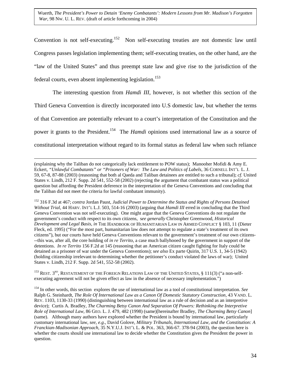Convention is not self-executing[.152](#page-34-0) Non self-executing treaties are not domestic law until Congress passes legislation implementing them; self-executing treaties, on the other hand, are the "law of the United States" and thus preempt state law and give rise to the jurisdiction of the federal courts, even absent implementing legislation.<sup>[153](#page-34-1)</sup>

 The interesting question from *Hamdi III*, however, is not whether this section of the Third Geneva Convention is directly incorporated into U.S domestic law, but whether the terms of that Convention are potentially relevant to a court's interpretation of the Constitution and the power it grants to the President.<sup>154</sup> The *Hamdi* opinions used international law as a source of constitutional interpretation without regard to its formal status as federal law when such reliance

 (explaining why the Taliban do not categorically lack entitlement to POW status); Manooher Mofidi & Amy E. Eckert, *"Unlawful Combatants" or "Prisoners of War: The Law and Politics of Labels*, 36 CORNELL INT'L L. J. 59, 67-8, 87-88 (2003) (reasoning that both al Qaeda and Taliban detainees are entitled to such a tribunal); *cf.* United States v. Lindh, 212 F. Supp. 2d 541, 552-58 (2002) (rejecting the argument that combatant status was a political question but affording the President deference in the interpretation of the Geneva Conventions and concluding that the Taliban did not meet the criteria for lawful combatant immunity).

<span id="page-34-0"></span>152 316 F.3d at 467; *contra* Jordan Paust, *Judicial Power to Determine the Status and Rights of Persons Detained Without Trial*, 44 HARV. INT'L L.J. 503, 514-16 (2003) (arguing that *Hamdi III* erred in concluding that the Third Geneva Convention was not self-executing). One might argue that the Geneva Conventions do not regulate the government's conduct with respect to its own citizens, s*ee generally* Christopher Greenwood, *Historical Development and Legal Basis, in* THE HANDBOOK OF HUMANITARIAN LAW IN ARMED CONFLICT § 103, 11 (Dieter Fleck, ed. 1995) ("For the most part, humanitarian law does not attempt to regulate a state's treatment of its own citizens"), but our courts have held Geneva Conventions relevant to the government's treatment of our own citizens- --this was, after all, the core holding of *in re Territo*, a case much ballyhooed by the government in support of the detentions. *In re Territo* 156 F.2d at 145 (reasoning that an American citizen caught fighting for Italy could be detained as a prisoner of war under the Geneva Conventions); *see also* Ex parte Quirin, 317 U.S. 1, 34-5 (1942) (holding citizenship irrelevant to determining whether the petitioner's conduct violated the laws of war); United States v. Lindh, 212 F. Supp. 2d 541, 552-58 (2002).

<span id="page-34-1"></span><sup>153</sup> REST. 3<sup>RD</sup>, RESTATEMENT OF THE FOREIGN RELATIONS LAW OF THE UNITED STATES, § 111(3) ("a non-selfexecuting agreement will not be given effect as law in the absence of necessary implementation.")

<span id="page-34-2"></span>154 In other words, this section explores the use of international law as a tool of constitutional interpretation. *See* Ralph G. Steinhardt, *The Role Of International Law as a Canon Of Domestic Statutory Construction*, 43 VAND. L. REV. 1103, 1130-33 (1990) (distinguishing between international law as a rule of decision and as an interpretive device); Curtis A. Bradley, *The Charming Betsy Canon And Separation Of Powers: Rethinking the Interpretive Role of International Law*, 86 GEO. L. J. 479, 482 (1998) (same)[hereinafter Bradley, *The Charming Betsy Canon*] (same). Although many authors have explored whether the President is bound by international law, particularly customary international law, *see, e.g*., David Golove, *Military Tribunals, International Law, and the Constitution: A Franckian-Madisonian Approach*, 35 N.Y.U.J. INT'L L. & POL. 363, 366-67. 378-94 (2003), the question here is whether the courts should use international law to decide whether the Constitution gives the President the power in question.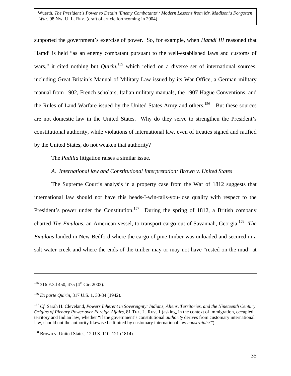supported the government's exercise of power. So, for example, when *Hamdi III* reasoned that Hamdi is held "as an enemy combatant pursuant to the well-established laws and customs of wars," it cited nothing but *Quirin*,<sup>155</sup> which relied on a diverse set of international sources, including Great Britain's Manual of Military Law issued by its War Office, a German military manual from 1902, French scholars, Italian military manuals, the 1907 Hague Conventions, and the Rules of Land Warfare issued by the United States Army and others.<sup>156</sup> But these sources are not domestic law in the United States. Why do they serve to strengthen the President's constitutional authority, while violations of international law, even of treaties signed and ratified by the United States, do not weaken that authority?

The *Padilla* litigation raises a similar issue.

## *A. International law and Constitutional Interpretation: Brown v. United States*

The Supreme Court's analysis in a property case from the War of 1812 suggests that international law should not have this heads-I-win-tails-you-lose quality with respect to the President's power under the Constitution.<sup>157</sup> During the spring of 1812, a British company charted *The Emulous*, an American vessel, to transport cargo out of Savannah, Georgia[.158](#page-35-3) *The Emulous* landed in New Bedford where the cargo of pine timber was unloaded and secured in a salt water creek and where the ends of the timber may or may not have "rested on the mud" at

1

<span id="page-35-0"></span> $155$  316 F.3d 450, 475 (4<sup>th</sup> Cir. 2003).

<span id="page-35-1"></span><sup>156</sup> *Ex parte Quirin*, 317 U.S. 1, 30-34 (1942).

<span id="page-35-2"></span><sup>157</sup> *Cf.* Sarah H. Cleveland, *Powers Inherent in Sovereignty: Indians, Aliens, Territories, and the Nineteenth Century Origins of Plenary Power over Foreign Affairs*, 81 TEX. L. REV. 1 (asking, in the context of immigration, occupied territory and Indian law, whether "if the government's constitutional *authority* derives from customary international law, should not the authority likewise be limited by customary international law *constraints*?").

<span id="page-35-3"></span><sup>158</sup> Brown v. United States, 12 U.S. 110, 121 (1814).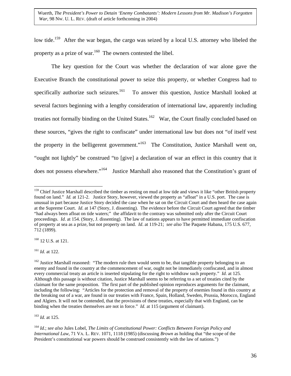low tide.<sup>159</sup> After the war began, the cargo was seized by a local U.S. attorney who libeled the property as a prize of war. $160$  The owners contested the libel.

The key question for the Court was whether the declaration of war alone gave the Executive Branch the constitutional power to seize this property, or whether Congress had to specifically authorize such seizures.<sup>161</sup> To answer this question, Justice Marshall looked at several factors beginning with a lengthy consideration of international law, apparently including treaties not formally binding on the United States.<sup>162</sup> War, the Court finally concluded based on these sources, "gives the right to confiscate" under international law but does not "of itself vest the property in the belligerent government."<sup>163</sup> The Constitution, Justice Marshall went on, "ought not lightly" be construed "to [give] a declaration of war an effect in this country that it does not possess elsewhere."<sup>164</sup> Justice Marshall also reasoned that the Constitution's grant of

<span id="page-36-1"></span><sup>160</sup> 12 U.S. at 121.

<span id="page-36-2"></span><sup>161</sup> *Id*. at 122.

<span id="page-36-4"></span><sup>163</sup> *Id.* at 125.

<span id="page-36-0"></span> $\overline{a}$ <sup>159</sup> Chief Justice Marshall described the timber as resting on mud at low tide and views it like "other British property found on land." *Id.* at 121-2. Justice Story, however, viewed the property as "afloat" in a U.S. port. The case is unusual in part because Justice Story decided the case when he sat on the Circuit Court and then heard the case again at the Supreme Court. *Id*. at 147 (Story, J. dissenting). The evidence before the Circuit Court agreed that the timber "had always been afloat on tide waters;" the affidavit to the contrary was submitted only after the Circuit Court proceedings. *Id*. at 154. (Story, J. dissenting). The law of nations appears to have permitted immediate confiscation of property at sea as a prize, but not property on land. *Id*. at 119-21; *see also* The Paquete Habana, 175 U.S. 677, 712 (1899).

<span id="page-36-3"></span><sup>&</sup>lt;sup>162</sup> Justice Marshall reasoned: "The modern rule then would seem to be, that tangible property belonging to an enemy and found in the country at the commencement of war, ought not be immediately confiscated, and in almost every commercial treaty an article is inserted stipulating for the right to withdraw such property." *Id.* at 125. Although this passage is without citation, Justice Marshall seems to be referring to a set of treaties cited by the claimant for the same proposition. The first part of the published opinion reproduces arguments for the claimant, including the following: "Articles for the protection and removal of the property of enemies found in this country at the breaking out of a war, are found in our treaties with France, Spain, Holland, Sweden, Prussia, Morocco, England and Algiers. It will not be contended, that the provisions of these treaties, especially that with England, can be binding when the treaties themselves are not in force." *Id.* at 115 (argument of claimant).

<span id="page-36-5"></span><sup>164</sup> *Id.*; *see also* Jules Lobel, *The Limits of Constitutional Power: Conflicts Between Foreign Policy and International Law*, 71 VA. L. REV. 1071, 1118 (1985) (discussing *Brown* as holding that "the scope of the President's constitutional war powers should be construed consistently with the law of nations.")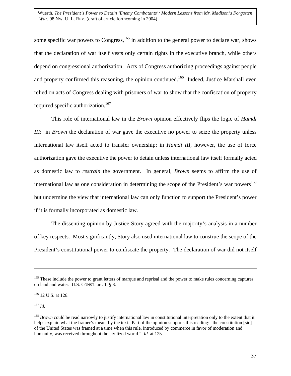some specific war powers to Congress,<sup>165</sup> in addition to the general power to declare war, shows that the declaration of war itself vests only certain rights in the executive branch, while others depend on congressional authorization. Acts of Congress authorizing proceedings against people and property confirmed this reasoning, the opinion continued.<sup>166</sup> Indeed, Justice Marshall even relied on acts of Congress dealing with prisoners of war to show that the confiscation of property required specific authorization.<sup>167</sup>

This role of international law in the *Brown* opinion effectively flips the logic of *Hamdi III*: in *Brown* the declaration of war gave the executive no power to seize the property unless international law itself acted to transfer ownership; in *Hamdi III*, however, the use of force authorization gave the executive the power to detain unless international law itself formally acted as domestic law to *restrain* the government. In general, *Brown* seems to affirm the use of international law as one consideration in determining the scope of the President's war powers<sup>168</sup> but undermine the view that international law can only function to support the President's power if it is formally incorporated as domestic law.

The dissenting opinion by Justice Story agreed with the majority's analysis in a number of key respects. Most significantly, Story also used international law to construe the scope of the President's constitutional power to confiscate the property. The declaration of war did not itself

<span id="page-37-0"></span><sup>&</sup>lt;sup>165</sup> These include the power to grant letters of marque and reprisal and the power to make rules concerning captures on land and water. U.S. CONST. art. 1, § 8.

<span id="page-37-1"></span><sup>&</sup>lt;sup>166</sup> 12 U.S. at 126.

<span id="page-37-2"></span><sup>167</sup> *Id.*

<span id="page-37-3"></span><sup>168</sup> *Brown* could be read narrowly to justify international law in constitutional interpretation only to the extent that it helps explain what the framer's meant by the text. Part of the opinion supports this reading: "the constitution [sic] of the United States was framed at a time when this rule, introduced by commerce in favor of moderation and humanity, was received throughout the civilized world." *Id.* at 125.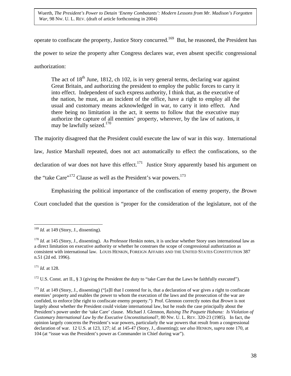operate to confiscate the property, Justice Story concurred.<sup>169</sup> But, he reasoned, the President has the power to seize the property after Congress declares war, even absent specific congressional authorization:

The act of  $18<sup>th</sup>$  June, 1812, ch 102, is in very general terms, declaring war against Great Britain, and authorizing the president to employ the public forces to carry it into effect. Independent of such express authority, I think that, as the executive of the nation, he must, as an incident of the office, have a right to employ all the usual and customary means acknowledged in war, to carry it into effect. And there being no limitation in the act, it seems to follow that the executive may authorize the capture of all enemies' property, wherever, by the law of nations, it may be lawfully seized. $170$ 

The majority disagreed that the President could execute the law of war in this way. International law, Justice Marshall repeated, does not act automatically to effect the confiscations, so the declaration of war does not have this effect.<sup>171</sup> Justice Story apparently based his argument on the "take Care"<sup>172</sup> Clause as well as the President's war powers.<sup>[173](#page-38-4)</sup>

Emphasizing the political importance of the confiscation of enemy property, the *Brown*

Court concluded that the question is "proper for the consideration of the legislature, not of the

<span id="page-38-2"></span><sup>171</sup> *Id.* at 128.

<span id="page-38-3"></span><sup>172</sup> U.S. Const. art II., § 3 (giving the President the duty to "take Care that the Laws be faithfully executed").

<span id="page-38-4"></span><sup>173</sup> *Id.* at 149 (Story, J., dissenting) ("[a]ll that I contend for is, that a declaration of war gives a right to confiscate enemies' property and enables the power to whom the execution of the laws and the prosecution of the war are confided, to enforce [the right to confiscate enemy property.") Prof. Glennon correctly notes that *Brown* is not largely about whether the President could violate international law, but he reads the case principally about the President's power under the 'take Care' clause. Michael J. Glennon, *Raising The Paquete Habana: Is Violation of Customary International Law by the Executive Unconstitutional*?, 80 NW. U. L. REV. 320-23 (1985). In fact, the opinion largely concerns the President's war powers, particularly the war powers that result from a congressional declaration of war. 12 U.S. at 123, 127; *id.* at 145-47 (Story, J., dissenting); *see also* HENKIN, *supra* note 170, at 104 (at "issue was the President's power as Commander in Chief during war").

<span id="page-38-0"></span> $\overline{a}$ <sup>169</sup> *Id.* at 149 (Story, J., dissenting).

<span id="page-38-1"></span><sup>&</sup>lt;sup>170</sup> *Id.* at 145 (Story, J., dissenting). As Professor Henkin notes, it is unclear whether Story uses international law as a direct limitation on executive authority or whether he construes the scope of congressional authorization as consistent with international law. LOUIS HENKIN, FOREIGN AFFAIRS AND THE UNITED STATES CONSTITUTION 387 n.51 (2d ed. 1996).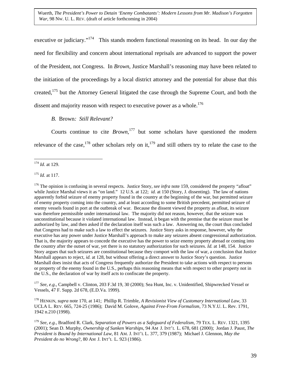executive or judiciary."<sup>174</sup> This stands modern functional reasoning on its head. In our day the need for flexibility and concern about international reprisals are advanced to support the power of the President, not Congress. In *Brown*, Justice Marshall's reasoning may have been related to the initiation of the proceedings by a local district attorney and the potential for abuse that this created,[175](#page-39-1) but the Attorney General litigated the case through the Supreme Court, and both the dissent and majority reason with respect to executive power as a whole.<sup>[176](#page-39-2)</sup>

*B.* Brown*: Still Relevant?*

Courts continue to cite *Brown*,<sup>177</sup> but some scholars have questioned the modern relevance of the case,<sup>178</sup> other scholars rely on it,<sup>179</sup> and still others try to relate the case to the

<span id="page-39-1"></span><sup>175</sup> *Id.* at 117.

<span id="page-39-2"></span><sup>176</sup> The opinion is confusing in several respects. Justice Story, *see infra* note 159, considered the property "afloat" while Justice Marshal views it as "on land." 12 U.S. at 122; *id.* at 150 (Story, J. dissenting). The law of nations apparently forbid seizure of enemy property found in the country at the beginning of the war, but permitted seizure of enemy property coming into the country, and at least according to some British precedent, permitted seizure of enemy vessels found in port at the outbreak of war. Because the dissent viewed the property as afloat, its seizure was therefore permissible under international law. The majority did not reason, however, that the seizure was unconstitutional because it violated international law. Instead, it began with the premise that the seizure must be authorized by law, and then asked if the declaration itself was such a law. Answering no, the court thus concluded that Congress had to make such a law to effect the seizures. Justice Story asks in response, however, why the executive has any power under Justice Marshall's approach to make any seizures absent congressional authorization. That is, the majority appears to concede the executive has the power to seize enemy property abroad or coming into the country after the outset of war, yet there is no statutory authorization for such seizures. *Id.* at 148, 154. Justice Story argues that such seizures are constitutional because they comport with the law of war, a conclusion that Justice Marshall appears to reject, *id.* at 128, but without offering a direct answer to Justice Story's question. Justice Marshall does insist that acts of Congress frequently authorize the President to take actions with respect to persons or property of the enemy found in the U.S., perhaps this reasoning means that with respect to other property not in the U.S., the declaration of war by itself acts to confiscate the property.

<span id="page-39-3"></span><sup>177</sup> *See, e.g*., Campbell v. Clinton, 203 F.3d 19, 30 (2000); Sea Hunt, Inc. v. Unidentified, Shipwrecked Vessel or Vessels, 47 F. Supp. 2d 678, (E.D.Va. 1999).

<span id="page-39-4"></span>178 HENKIN, *supra* note 170, at 141; Phillip R. Trimble, *A Revisionist View of Customary International Law*, 33 UCLA L. REV. 665, 724-25 (1986); David M. Golove, *Against Free-From Formalism*, 73 N.Y.U. L. Rev. 1791, 1942 n.210 (1998).

<span id="page-39-0"></span><sup>&</sup>lt;u>.</u> <sup>174</sup> *Id*. at 129.

<span id="page-39-5"></span><sup>179</sup> *See, e.g.,* Bradford R. Clark, *Separation of Powers as a Safeguard of Federalism*, 79 TEX. L. REV. 1321, 1395 (2001); Sean D. Murphy, *Ownership of Sunken Warships*, 94 AM J. INT'L L. 678, 681 (2000); Jordan J. Paust, *The President is Bound by International Law*, 81 AM. J. INT'L L. 377, 379 (1987); Michael J. Glennon, *May the President do no Wrong*?, 80 AM J. INT'L L. 923 (1986).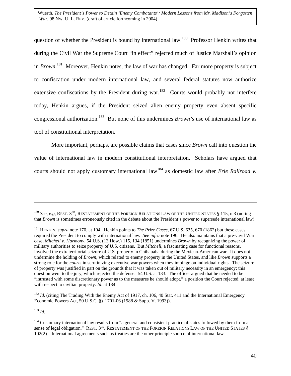question of whether the President is bound by international law.<sup>180</sup> Professor Henkin writes that during the Civil War the Supreme Court "in effect" rejected much of Justice Marshall's opinion in *Brown*. [181](#page-40-1) Moreover, Henkin notes, the law of war has changed. Far more property is subject to confiscation under modern international law, and several federal statutes now authorize extensive confiscations by the President during war.<sup>182</sup> Courts would probably not interfere today, Henkin argues, if the President seized alien enemy property even absent specific congressional authorization[.183](#page-40-3) But none of this undermines *Brown's* use of international law as tool of constitutional interpretation.

More important, perhaps, are possible claims that cases since *Brown* call into question the value of international law in modern constitutional interpretation. Scholars have argued that courts should not apply customary international law<sup>184</sup> as domestic law after *Erie Railroad v*.

<span id="page-40-2"></span><sup>182</sup> *Id.* (citing The Trading With the Enemy Act of 1917, ch. 106, 40 Stat. 411 and the International Emergency Economic Powers Act, 50 U.S.C. §§ 1701-06 (1988 & Supp. V. 1993)).

<span id="page-40-3"></span><sup>183</sup> *Id*.

<span id="page-40-0"></span><sup>&</sup>lt;sup>180</sup> *See, e.g,* REST. 3<sup>RD</sup>, RESTATEMENT OF THE FOREIGN RELATIONS LAW OF THE UNITED STATES § 115, n.3 (noting that *Brown* is sometimes erroneously cited in the debate about the President's power to supersede international law).

<span id="page-40-1"></span><sup>181</sup> HENKIN, *supra* note 170, at 104. Henkin points to *The Prize Cases*, 67 U.S. 635, 670 (1862) but these cases required the President to comply with international law. *See infra* note 196. He also maintains that a pre-Civil War case, *Mitchell v. Harmony*, 54 U.S. (13 How.) 115, 134 (1851) undermines *Brown* by recognizing the power of military authorities to seize property of U.S. citizens. But *Mitchell*, a fascinating case for functional reasons, involved the extraterritorial seizure of U.S. property in Chihauaha during the Mexican-American war. It does not undermine the holding of *Brown*, which related to enemy property in the United States, and like *Brown* supports a strong role for the *courts* in scrutinizing executive war powers when they impinge on individual rights. The seizure of property was justified in part on the grounds that it was taken out of military necessity in an emergency; this question went to the jury, which rejected the defense. 54 U.S. at 133. The officer argued that he needed to be "intrusted with some discretionary power as to the measures he should adopt," a position the Court rejected, at least with respect to civilian property. *Id*. at 134.

<span id="page-40-4"></span><sup>&</sup>lt;sup>184</sup> Customary international law results from "a general and consistent practice of states followed by them from a sense of legal obligation." REST. 3<sup>RD</sup>, RESTATEMENT OF THE FOREIGN RELATIONS LAW OF THE UNITED STATES § 102(2). International agreements such as treaties are the other principle source of international law.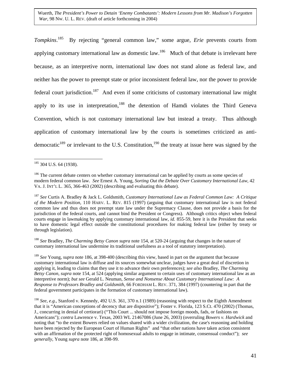*Tompkins*. [185](#page-41-0) By rejecting "general common law," some argue, *Erie* prevents courts from applying customary international law as domestic law.<sup>186</sup> Much of that debate is irrelevant here because, as an interpretive norm, international law does not stand alone as federal law, and neither has the power to preempt state or prior inconsistent federal law, nor the power to provide federal court jurisdiction.<sup>187</sup> And even if some criticisms of customary international law might apply to its use in interpretation, $188$  the detention of Hamdi violates the Third Geneva Convention, which is not customary international law but instead a treaty. Thus although application of customary international law by the courts is sometimes criticized as antidemocratic<sup>189</sup> or irrelevant to the U.S. Constitution,<sup>190</sup> the treaty at issue here was signed by the

<span id="page-41-2"></span><sup>187</sup> *See* Curtis A. Bradley & Jack L. Goldsmith, *Customary International Law as Federal Common Law: A Critique of the Modern Position*, 110 HARV. L. REV. 815 (1997) (arguing that customary international law is not federal common law and thus does not preempt state law under the Supremacy Clause, does not provide a basis for the jurisdiction of the federal courts, and cannot bind the President or Congress). Although critics object when federal courts engage in lawmaking by applying customary international law, *id.* 855-59, here it is the President that seeks to have domestic legal effect outside the constitutional procedures for making federal law (either by treaty or through legislation).

<span id="page-41-3"></span><sup>188</sup> *See* Bradley, *The Charming Betsy Canon supra* note 154, at 520-24 (arguing that changes in the nature of customary international law undermine its traditional usefulness as a tool of statutory interpretation).

<span id="page-41-4"></span><sup>189</sup> *See* Young, *supra* note 186, at 398-400 (describing this view, based in part on the argument that because customary international law is diffuse and its sources somewhat unclear, judges have a great deal of discretion in applying it, leading to claims that they use it to advance their own preferences); *see also* Bradley, *The Charming Betsy Canon*, *supra* note 154, at 524 (applying similar argument to certain uses of customary international law as an interpretive norm); *but see* Gerald L. Neuman, *Sense and Nonsense About Customary International Law: A Response to Professors Bradley and Goldsmith*, 66 FORDHAM L. REV. 371, 384 (1997) (countering in part that the federal government participates in the formation of customary international law).

<span id="page-41-5"></span><sup>190</sup> *See, e.g.*, Stanford v. Kennedy, 492 U.S. 361, 370 n.1 (1989) (reasoning with respect to the Eighth Amendment that it is "American conceptions of decency that are dispositive"); Foster v. Florida, 123 S.Ct. 470 (2002) (Thomas, J., concurring in denial of certiorari) ("This Court ... should not impose foreign moods, fads, or fashions on Americans"); *contra* Lawrence v. Texas, 2003 WL 21467086 (June 26, 2003) (overruling *Bowers v. Hardwick* and noting that "to the extent Bowers relied on values shared with a wider civilization, the case's reasoning and holding have been rejected by the European Court of Human Rights" and "that other nations have taken action consistent with an affirmation of the protected right of homosexual adults to engage in intimate, consensual conduct"); *see generally*, Young *supra* note 186, at 398-99.

<span id="page-41-0"></span><sup>&</sup>lt;u>.</u> <sup>185</sup> 304 U.S. 64 (1938).

<span id="page-41-1"></span><sup>&</sup>lt;sup>186</sup> The current debate centers on whether customary international can be applied by courts as some species of modern federal common law. *See* Ernest A. Young, *Sorting Out the Debate Over Customary International Law*, 42 VA. J. INT'L L. 365, 366-463 (2002) (describing and evaluating this debate).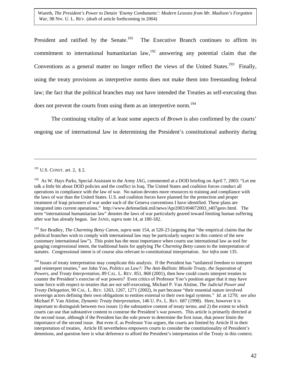President and ratified by the Senate.<sup>191</sup> The Executive Branch continues to affirm its commitment to international humanitarian law,  $192$  answering any potential claim that the Conventions as a general matter no longer reflect the views of the United States.<sup>193</sup> Finally, using the treaty provisions as interpretive norms does not make them into freestanding federal law; the fact that the political branches may not have intended the Treaties as self-executing thus does not prevent the courts from using them as an interpretive norm.<sup>194</sup>

The continuing vitality of at least some aspects of *Brown* is also confirmed by the courts' ongoing use of international law in determining the President's constitutional authority during

<u>.</u>

<span id="page-42-2"></span><sup>193</sup> *See* Bradley, *The Charming Betsy Canon, supra* note 154, at 520-23 (arguing that "the empirical claims that the political branches wish to comply with international law may be particularly suspect in this context of the new customary international law"). This point has the most importance when courts use international law as tool for gauging congressional intent, the traditional basis for applying *The Charming Betsy* canon to the interpretation of statutes. Congressional intent is of course also relevant to constitutional interpretation. *See infra* note 135.

<span id="page-42-3"></span><sup>194</sup> Issues of treaty interpretation may complicate this analysis. If the President has "unilateral freedom to interpret and reinterpret treaties," *see* John Yoo, *Politics as Law?: The Anti-Ballistic Missile Treaty, the Separation of Powers, and Treaty Interpretation*, 89 CAL. L. REV. 851, 868 (2001), then how could courts interpret treaties to counter the President's exercise of war powers? Even critics of Professor Yoo's position argue that it may have some force with respect to treaties that are not self-executing, Michael P. Van Alstine, *The Judicial Power and Treaty Delegation*, 90 CAL. L. REV. 1263, 1267, 1271 (2002), in part because "their essential nature involved sovereign actors defining their own obligations to entities external to their own legal systems." *Id*. at 1270; *see also* Michael P. Van Alstine, *Dynamic Treaty Interpretation*, 146 U. PA. L. REV. 687 (1998). Here, however it is important to distinguish between two issues 1) the substantive content of treaty terms; and 2) the extent to which courts can use that substantive content to construe the President's war powers. This article is primarily directed at the second issue, although if the President has the sole power to determine the first issue, that power limits the importance of the second issue. But even if, as Professor Yoo argues, the courts are limited by Article II in their interpretation of treaties, Article III nevertheless empowers courts to consider the constitutionality of President's detentions, and question here is what deference to afford the President's interpretation of the Treaty in this context.

<span id="page-42-0"></span> $191$  U.S. CONST. art. 2, § 2.

<span id="page-42-1"></span><sup>&</sup>lt;sup>192</sup> As W. Hays Parks, Special Assistant to the Army JAG, commented at a DOD briefing on April 7, 2003: "Let me talk a little bit about DOD policies and the conflict in Iraq. The United States and coalition forces conduct all operations in compliance with the law of war. No nation devotes more resources to training and compliance with the laws of war than the United States. U.S. and coalition forces have planned for the protection and proper treatment of Iraqi prisoners of war under each of the Geneva conventions I have identified. These plans are integrated into current operations." http://www.defenselink.mil/news/Apr2003/t04072003\_t407genv.html. The term "international humanitarian law" denotes the laws of war particularly geared toward limiting human suffering after war has already begun. *See* JANIS, *supra* note 14, at 180-182.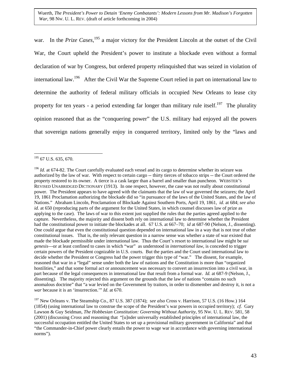war. In the *Prize Cases*, [195](#page-43-0) a major victory for the President Lincoln at the outset of the Civil War, the Court upheld the President's power to institute a blockade even without a formal declaration of war by Congress, but ordered property relinquished that was seized in violation of international law[.196](#page-43-1) After the Civil War the Supreme Court relied in part on international law to determine the authority of federal military officials in occupied New Orleans to lease city property for ten years - a period extending far longer than military rule itself.<sup>197</sup> The plurality opinion reasoned that as the "conquering power" the U.S. military had enjoyed all the powers that sovereign nations generally enjoy in conquered territory, limited only by the "laws and

<span id="page-43-0"></span> $\overline{a}$  $195$  67 U.S. 635, 670.

<span id="page-43-1"></span><sup>&</sup>lt;sup>196</sup> *Id.* at 674-82. The Court carefully evaluated each vessel and its cargo to determine whether its seizure was authorized by the law of war. With respect to certain cargo -- thirty tierces of tobacco strips -- the Court ordered the property restored to its owner. A tierce is a cask larger than a barrel and smaller than puncheon. WEBSTER'S REVISED UNABRIDGED DICTIONARY (1913). In one respect, however, the case was not really about constitutional power. The President appears to have agreed with the claimants that the law of war governed the seizures; the April 19, 1861 Proclamation authorizing the blockade did so "in pursuance of the laws of the United States, and the law of Nations." Abraham Lincoln, Proclamation of Blockade Against Southern Ports, April 19, 1861, *id*. at 684; *see also id.* at 650 (reproducing parts of the argument for the United States, in which counsel discusses law of prize as applying to the case). The laws of war to this extent just supplied the rules that the parties agreed applied to the capture. Nevertheless, the majority and dissent both rely on international law to determine whether the President had the constitutional power to initiate the blockades at all. 67 U.S. at 667–70; *id* at 687-90 (Nelson, J., dissenting). One could argue that even the constitutional question depended on international law in a way that is not true of other constitutional issues. That is, the only relevant question in a narrow sense was whether a state of war existed that made the blockade permissible under international law. Thus the Court's resort to international law might be *sui genesis*—or at least confined to cases in which "war" as understood in *international law*, is conceded to trigger certain powers of the President cognizable in U.S. courts. But the parties and the Court used international law to decide whether the President or Congress had the power trigger this type of "war." The dissent, for example, reasoned that war in a "legal" sense under both the law of nations and the Constitution is more than "organized hostilities," and that some formal act or announcement was necessary to convert an insurrection into a civil war, in part because of the legal consequences in international law that result from a formal war. *Id.* at 687-9 (Nelson, J., dissenting). The majority rejected this argument on the grounds that the law of nations "contains no such anomalous doctrine" that "a war levied on the Government by traitors, in order to dismember and destroy it, is not a *war* because it is an 'insurrection.'" *Id*. at 670.

<span id="page-43-2"></span><sup>197</sup> New Orleans v. The Steamship Co., 87 U.S. 387 (1874); s*ee also* Cross v. Harrison, 57 U.S. (16 How.) 164 (1854) (using international law to construe the scope of the President's war powers in occupied territory); *cf.* Gary Lawson & Guy Seidman, *The Hobbesian Constitution: Governing Without Authority*, 95 NW. U. L. REV. 581, 58 (2001) (discussing *Cross* and reasoning that "[u]nder universally established principles of international law, the successful occupation entitled the United States to set up a provisional military government in California" and that "the Commander-in-Chief power clearly entails the power to wage war in accordance with governing international norms").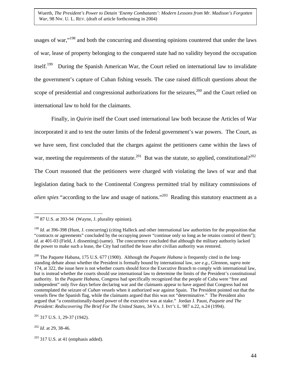usages of war,"<sup>198</sup> and both the concurring and dissenting opinions countered that under the laws of war, lease of property belonging to the conquered state had no validity beyond the occupation itself.<sup>199</sup> During the Spanish American War, the Court relied on international law to invalidate the government's capture of Cuban fishing vessels. The case raised difficult questions about the scope of presidential and congressional authorizations for the seizures,  $200$  and the Court relied on international law to hold for the claimants.

Finally, in *Quirin* itself the Court used international law both because the Articles of War incorporated it and to test the outer limits of the federal government's war powers. The Court, as we have seen, first concluded that the charges against the petitioners came within the laws of war, meeting the requirements of the statute.<sup>201</sup> But was the statute, so applied, constitutional?<sup>[202](#page-44-4)</sup> The Court reasoned that the petitioners were charged with violating the laws of war and that legislation dating back to the Continental Congress permitted trial by military commissions of *alien spies* "according to the law and usage of nations."<sup>203</sup> Reading this statutory enactment as a

<span id="page-44-3"></span> $201$  317 U.S. 1, 29-37 (1942).

<span id="page-44-4"></span><sup>202</sup> *Id.* at 29, 38-46.

<span id="page-44-0"></span> $198$  87 U.S. at 393-94 (Wayne, J. plurality opinion).

<span id="page-44-1"></span><sup>&</sup>lt;sup>199</sup> *Id.* at 396-398 (Hunt, J. concurring) (citing Halleck and other international law authorities for the proposition that "contracts or agreements" concluded by the occupying power "continue only so long as he retains control of them"); *id.* at 401-03 (Field, J. dissenting) (same). The concurrence concluded that although the military authority lacked the power to make such a lease, the City had ratified the lease after civilian authority was restored.

<span id="page-44-2"></span><sup>&</sup>lt;sup>200</sup> The Paquete Habana, 175 U.S. 677 (1900). Although the *Paquete Habana* is frequently cited in the longstanding debate about whether the President is formally bound by international law, *see e.g*., Glennon, *supra* note 174, at 322, the issue here is not whether courts should force the Executive Branch to comply with international law, but is instead whether the courts should use international law to determine the limits of the President's constitutional authority. In the *Paquete Habana*, Congress had specifically recognized that the people of Cuba were "free and independent" only five days before declaring war and the claimants appear to have argued that Congress had not contemplated the seizure of *Cuban* vessels when it authorized war against Spain. The President pointed out that the vessels flew the Spanish flag, while the claimants argued that this was not "determinative." The President also argued that "a constitutionally-based power of the executive was at stake." Jordan J. Paust, *Paquete and The President: Rediscovering The Brief For The United States,* 34 VA. J. INT'L L*.* 987 n.22, n.24 (1994).

<span id="page-44-5"></span> $203$  317 U.S. at 41 (emphasis added).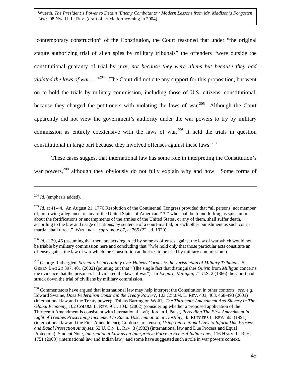<span id="page-45-4"></span>"contemporary construction" of the Constitution, the Court reasoned that under "the original statute authorizing trial of alien spies by military tribunals" the offenders "were outside the constitutional guaranty of trial by jury, *not because they were aliens but because they had violated the laws of war*…..<sup>"204</sup> The Court did not cite any support for this proposition, but went on to hold the trials by military commission, including those of U.S. citizens, constitutional, because they charged the petitioners with violating the laws of war.<sup>205</sup> Although the Court apparently did not view the government's authority under the war powers to try by military commission as entirely coextensive with the laws of war,  $206$  it held the trials in question constitutional in large part because they involved offenses against these laws.  $207$ 

These cases suggest that international law has some role in interpreting the Constitution's war powers,<sup>208</sup> although they obviously do not fully explain why and how. Some forms of

<span id="page-45-0"></span><sup>204</sup> *Id.* (emphasis added).

<span id="page-45-1"></span><sup>&</sup>lt;sup>205</sup> *Id.* at 41-44. An August 21, 1776 Resolution of the Continental Congress provided that "all persons, not member of, nor owing allegiance to, any of the United States of American \* \* \* who shall be found lurking as spies in or about the fortifications or encampments of the armies of the United States, or any of them, shall suffer death, according to the law and usage of nations, by sentence of a court-martial, or such other punishment as such courtmartial shall direct." WINTHROP, *supra* note 87, at 765 (2<sup>nd</sup> ed. 1920).

<span id="page-45-2"></span><sup>&</sup>lt;sup>206</sup> *Id.* at 29, 46 (assuming that there are acts regarded by some as offenses against the law of war which would not be triable by military commission here and concluding that "[w]e hold only that those particular acts constitute an offense against the law of war which the Constitution authorizes to be tried by military commission").

<span id="page-45-3"></span><sup>207</sup> George Rutherglen, *Structural Uncertainty over Habeas Corpus & the Jurisdiction of Military Tribunals*, 5 GREEN BAG 2D 397, 401 (2002) (pointing out that "[t]he single fact that distinguishes *Quirin* from *Milligan* concerns the evidence that the prisoners had violated the laws of war"). In *Ex parte Milligan*, 71 U.S. 2 (1866) the Court had struck down the trial of civilians by military commission.

<sup>208</sup> Commentators have argued that international law may help interpret the Constitution in other contexts, *see, e.g*, Edward Swaine, *Does Federalism Constrain the Treaty Power?*, 103 COLUM. L. REV. 403, 463, 468-493 (2003) (international law and the Treaty power); Tobias Barrington Wolff, *The Thirteenth Amendment And Slavery In The Global Economy*, 102 COLUM. L. REV. 973, 1043 (2002) (considering whether a proposed application of the Thirteenth Amendment is consistent with international law); Jordan J. Paust, *Rereading The First Amendment in Light of Treaties Proscribing Incitement to Racial Discrimination or Hostility*, 43 RUTGERS L. REV. 565 (1991) (international law and the First Amendment); Gordon Christenson, *Using International Law to Inform Due Process and Equal Protection Analyses*, 52 U. CIN. L. REV. 3 (1983) (international law and Due Process and Equal Protection); Student Note*, International Law as an Interpretive Force in Federal Indian Law*, 116 HARV. L. REV. 1751 (2003) (international law and Indian law), and some have suggested such a role in war powers context.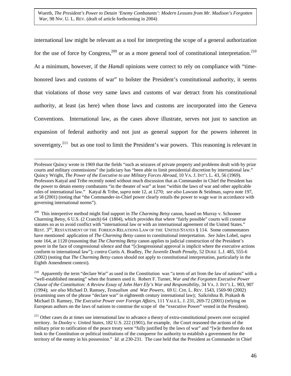<span id="page-46-2"></span>international law might be relevant as a tool for interpreting the scope of a general authorization for the use of force by Congress,<sup>209</sup> or as a more general tool of constitutional interpretation.<sup>210</sup> At a minimum, however, if the *Hamdi* opinions were correct to rely on compliance with "timehonored laws and customs of war" to bolster the President's constitutional authority, it seems that violations of those very same laws and customs of war detract from his constitutional authority, at least (as here) when those laws and customs are incorporated into the Geneva Conventions. International law, as the cases above illustrate, serves not just to sanction an expansion of federal authority and not just as general support for the powers inherent in sovereignty,  $2^{11}$  but as one tool to limit the President's war powers. This reasoning is relevant in

 Professor Quincy wrote in 1969 that the fields "such as seizures of private property and problems dealt with by prize courts and military commissions" the judiciary has "been able to limit presidential discretion by international law." Quincy Wright, *The Power of the Executive to use Military Forces Abroad*, 10 VA. J. INT'L L. 43, 56 (1969). Professors Katyal and Tribe recently noted without much discussion that as Commander in Chief the President has the power to detain enemy combatants "in the theater of war" at least "within the laws of war and other applicable rules of international law." Katyal & Tribe, *supra* note 12, at 1270; *see also* Lawson & Seidman, *supra* note 197, at 58 (2001) (noting that "the Commander-in-Chief power clearly entails the power to wage war in accordance with governing international norms").

<span id="page-46-0"></span>209 This interpretive method might find support in *The Charming Betsy* canon*,* based on Murray v. Schooner Charming Betsy, 6 U.S. (2 Cranch) 64 (1804), which provides that where "fairly possible" courts will construe statutes so as to avoid conflict with "international law or with an international agreement of the United States." REST. 3<sup>RD</sup>, RESTATEMENT OF THE FOREIGN RELATIONS LAW OF THE UNITED STATES § 114. Some commentators have mentioned application of *The Charming Betsy* canon to constitutional interpretation. *See* Jules Lobel, *supra* note 164, at 1120 (reasoning that *The Charming Betsy* canon applies to judicial construction of the President's power in the face of congressional silence and that "[c]ongressional approval is implicit where the executive actions conform to international law"); *contra* Curtis A. Bradley, *The Juvenile Death Penalty*, 52 DUKE L.J. 485, 555-6 (2002) (noting that *The Charming Betsy* canon should not apply to constitutional interpretation, particularly in the Eighth Amendment context).

<span id="page-46-1"></span><sup>210</sup> Apparently the term "declare War" as used in the Constitution was "a term of art from the law of nations" with a "well-established meaning" when the framers used it. Robert F. Turner, *War and the Forgotten Executive Power Clause of the Constitution: A Review Essay of John Hart Ely's War and Responsibility*, 34 VA. J. INT'L L. 903, 907 (1994); *see also* Michael D. Ramsey, *Textualism and War Powers*, 69 U. CHI. L. REV. 1543, 1569-90 (2002) (examining uses of the phrase "declare war" in eighteenth century international law); Saikrishna B. Prakash & Michael D. Ramsey, *The Executive Power over Foreign Affairs*, 111 YALE L. J. 231, 269-72 (2001) (relying on European authors on the laws of nations to construe the scope of the "executive Power" vested in the President).

<sup>211</sup> Other cases do at times use international law to advance a theory of extra-constitutional powers over occupied territory. In *Dooley v. United States*, 182 U.S. 222 (1901), for example, the Court reasoned the actions of the military prior to ratification of the peace treaty were "fully justified by the laws of war" and "[w]e therefore do not look to the Constitution or political institutions of the conqueror for authority to establish a government for the territory of the enemy in his possession." *Id.* at 230-231. The case held that the President as Commander in Chief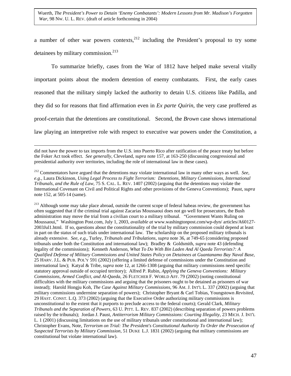a number of other war powers contexts,  $2^{12}$  including the President's proposal to try some detainees by military commission.<sup>[213](#page-47-1)</sup>

To summarize briefly, cases from the War of 1812 have helped make several vitally important points about the modern detention of enemy combatants. First, the early cases reasoned that the military simply lacked the authority to detain U.S. citizens like Padilla, and they did so for reasons that find affirmation even in *Ex parte Quirin*, the very case proffered as proof-certain that the detentions are constitutional. Second, the *Brown* case shows international law playing an interpretive role with respect to executive war powers under the Constitution, a

<span id="page-47-1"></span><sup>213</sup> Although some may take place abroad, outside the current scope of federal habeas review, the government has often suggested that if the criminal trial against Zacarias Moussaoui does not go well for prosecutors, the Bush administration may move the trial from a civilian court to a military tribunal. "Government Wants Ruling on Moussaoui," Washington Post.com, July 1, 2003, *available at* www.washingtonpost.com/wp-dyn/ articles/A60127- 2003Jul1.html. If so, questions about the constitutionality of the trial by military commission could depend at least in part on the status of such trials under international law. The scholarship on the proposed military tribunals is already extensive. *See, e.g,,* Turley, *Tribunals and Tribulations*, *supra* note 36, at 749-65 (considering proposed tribunals under both the Constitution and international law); Bradley & Goldsmith, *supra* note 43 (defending legality of the commissions); Kenneth Anderson, *What To Do With Bin Laden And Al Qaeda Terrorists?: A Qualified Defense of Military Commissions and United States Policy on Detainees at Guantanamo Bay Naval Base,* 25 HARV. J.L. & PUB. POL'Y 591 (2002) (offering a limited defense of commissions under the Constitution and international law); Katyal & Tribe, *supra* note 12, at 1266-1308 (arguing that military commissions need specific statutory approval outside of occupied territory); Alfred P. Rubin, *Applying the Geneva Conventions: Military Commissions, Armed Conflict, and Al-Qaeda*, 26 FLETCHER F. WORLD AFF. 79 (2002) (noting constitutional difficulties with the military commissions and arguing that the prisoners ought to be detained as prisoners of war instead); Harold Hongju Koh, *The Case Against Military Commissions*, 96 AM. J. INT'L L. 337 (2002) (arguing that military commissions undermine separation of powers); Christopher Bryant & Carl Tobias, Youngstown *Revisited*, 29 HAST. CONST. L.Q. 373 (2002) (arguing that the Executive Order authorizing military commissions is unconstitutional to the extent that it purports to preclude access to the federal courts); Gerald Clark, *Military Tribunals and the Separation of Powers*, 63 U. PITT. L. REV. 837 (2002) (describing separation of powers problems raised by the tribunals); Jordan J. Paust, *Antiterrorism Military Commissions: Courting Illegality*, 23 MICH. J. INT'L L. 1 (2001) (discussing limitations on the use of military tribunals under constitutional and international law); Christopher Evans, Note, *Terrorism on Trial: The President's Constitutional Authority To Order the Prosecution of Suspected Terrorists by Military Commission*, 51 DUKE L.J. 1831 (2002) (arguing that military commissions are constitutional but violate international law).

did not have the power to tax imports from the U.S. into Puerto Rico after ratification of the peace treaty but before the Foker Act took effect. *See generally*, Cleveland, *supra* note 157, at 163-250 (discussing congressional and presidential authority over territories, including the role of international law in these cases).

<span id="page-47-0"></span><sup>212</sup> Commentators have argued that the detentions may violate international law in many other ways as well. *See, e.g.*, Laura Dickinson, *Using Legal Process to Fight Terrorism: Detentions, Military Commissions, International Tribunals, and the Rule of Law*, 75 S. CAL. L. REV. 1407 (2002) (arguing that the detentions may violate the International Covenant on Civil and Political Rights and other provisions of the Geneva Conventions); Paust, *supra* note 152, at 505-14 (same).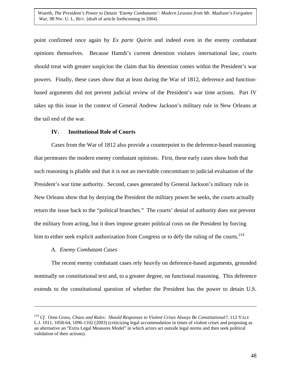point confirmed once again by *Ex parte Quirin* and indeed even in the enemy combatant opinions themselves. Because Hamdi's current detention violates international law, courts should treat with greater suspicion the claim that his detention comes within the President's war powers. Finally, these cases show that at least during the War of 1812, deference and functionbased arguments did not prevent judicial review of the President's war time actions. Part IV takes up this issue in the context of General Andrew Jackson's military rule in New Orleans at the tail end of the war.

### **IV. Institutional Role of Courts**

Cases from the War of 1812 also provide a counterpoint to the deference-based reasoning that permeates the modern enemy combatant opinions. First, these early cases show both that such reasoning is pliable and that it is not an inevitable concomitant to judicial evaluation of the President's war time authority. Second, cases generated by General Jackson's military rule in New Orleans show that by denying the President the military power he seeks, the courts actually return the issue back to the "political branches." The courts' denial of authority does not prevent the military from acting, but it does impose greater political costs on the President by forcing him to either seek explicit authorization from Congress or to defy the ruling of the courts.<sup>214</sup>

## *A. Enemy Combatant Cases*

 $\overline{a}$ 

The recent enemy combatant cases rely heavily on deference-based arguments, grounded nominally on constitutional text and, to a greater degree, on functional reasoning. This deference extends to the constitutional question of whether the President has the power to detain U.S.

<span id="page-48-0"></span><sup>214</sup> *Cf*. Oren Gross, *Chaos and Rules: Should Responses to Violent Crises Always Be Constitutional?*, 112 YALE L.J. 1011, 1058-64, 1096-1102 (2003) (criticizing legal accommodation in times of violent crises and proposing as an alternative an "Extra Legal Measures Model" in which actors act outside legal norms and then seek political validation of their actions).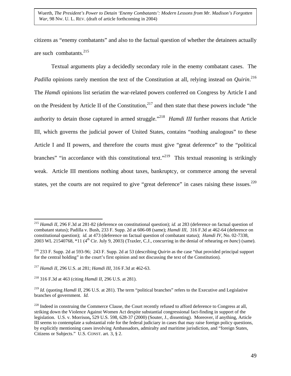citizens as "enemy combatants" and also to the factual question of whether the detainees actually are such combatants.<sup>215</sup>

Textual arguments play a decidedly secondary role in the enemy combatant cases. The *Padilla* opinions rarely mention the text of the Constitution at all, relying instead on *Quirin*. [216](#page-49-1) The *Hamdi* opinions list seriatim the war-related powers conferred on Congress by Article I and on the President by Article II of the Constitution,<sup>217</sup> and then state that these powers include "the authority to detain those captured in armed struggle."<sup>218</sup> *Hamdi III* further reasons that Article III, which governs the judicial power of United States, contains "nothing analogous" to these Article I and II powers, and therefore the courts must give "great deference" to the "political branches" "in accordance with this constitutional text."<sup>219</sup> This textual reasoning is strikingly weak. Article III mentions nothing about taxes, bankruptcy, or commerce among the several states, yet the courts are not required to give "great deference" in cases raising these issues. $220$ 

<span id="page-49-0"></span><sup>215</sup> *Hamdi II*, 296 F.3d at 281-82 (deference on constitutional question); *id.* at 283 (deference on factual question of combatant status); Padilla v. Bush, 233 F. Supp. 2d at 606-08 (same); *Hamdi III*, 316 F.3d at 462-64 (deference on constitutional question); *id.* at 473 (deference on factual question of combatant status); *Hamdi IV*, No. 02-7338, 2003 WL 21540768, \*11 (4th Cir. July 9, 2003) (Traxler, C.J., concurring in the denial of rehearing *en banc*) (same).

<span id="page-49-1"></span><sup>216 233</sup> F. Supp. 2d at 593-96; 243 F. Supp. 2d at 53 (describing *Quirin* as the case "that provided principal support for the central holding" in the court's first opinion and not discussing the text of the Constitution).

<span id="page-49-2"></span><sup>217</sup> *Hamdi II*, 296 U.S. at 281; *Hamdi III*, 316 F.3d at 462-63.

<span id="page-49-3"></span><sup>218 316</sup> F.3d at 463 (citing *Hamdi II*, 296 U.S. at 281).

<span id="page-49-4"></span><sup>&</sup>lt;sup>219</sup> *Id.* (quoting *Hamdi II*, 296 U.S. at 281). The term "political branches" refers to the Executive and Legislative branches of government. *Id.*

<span id="page-49-5"></span><sup>&</sup>lt;sup>220</sup> Indeed in construing the Commerce Clause, the Court recently refused to afford deference to Congress at all, striking down the Violence Against Women Act despite substantial congressional fact-finding in support of the legislation. U.S. v. Morrison**,** 529 U.S. 598, 628-37 (2000) (Souter, J., dissenting). Moreover, if anything, Article III seems to contemplate a substantial role for the federal judiciary in cases that may raise foreign policy questions, by explicitly mentioning cases involving Ambassadors, admiralty and maritime jurisdiction, and "foreign States, Citizens or Subjects." U.S. CONST. art. 3, § 2.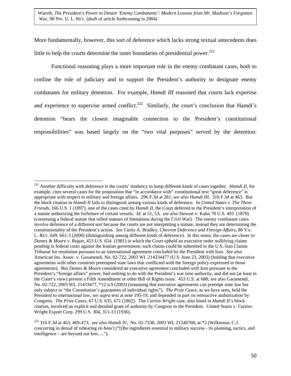More fundamentally, however, this sort of deference which lacks strong textual antecedents does little to help the courts determine the outer boundaries of presidential power.<sup>[221](#page-50-0)</sup>

Functional reasoning plays a more important role in the enemy combatant cases, both to confine the role of judiciary and to support the President's authority to designate enemy combatants for military detention. For example, *Hamdi III* reasoned that courts lack expertise and experience to supervise armed conflict.<sup>222</sup> Similarly, the court's conclusion that Hamdi's detention "bears the closest imaginable connection to the President's constitutional responsibilities" was based largely on the "two vital purposes" served by the detention:

1

<span id="page-50-0"></span><sup>221</sup> Another difficulty with deference is the courts' tendency to lump different kinds of cases together. *Hamdi II*, for example, cites several cases for the proposition that "in accordance with" constitutional text "great deference" is appropriate with respect to military and foreign affairs. 296 F.3d at 281; *see also Hamdi III*, 316 F.3d at 463. But the block citation in *Hamdi II* fails to distinguish among various kinds of deference. In *United States v. The Three Friends,* 166 U.S. 1 (1897), one of the cases cited by *Hamdi II*, the Court deferred to the President's interpretation of a statute authorizing the forfeiture of certain vessels. *Id*. at 51, 53; *see also* Stewart v. Kahn 78 U.S. 493 (1870) (construing a federal statute that tolled statutes of limitations during the Civil War). The enemy combatant cases involve deference of a different sort because the courts are not interpreting a statute, instead they are determining the constitutionality of the President's action. *See* Curtis A. Bradley, *Chevron Deference and Foreign Affairs*, 86 VA. L. REV. 649, 661-3 (2000) (distinguishing among different kinds of deference). In this sense, the cases are closer to *Dames & Moore v. Regan*, 453 U.S. 654 (1981) in which the Court upheld an executive order nullifying claims pending in federal court against the Iranian government; such claims could be submitted to the U.S.-Iran Claims Tribunal for resolution pursuant to an international agreement concluded by the President with Iran. *See also* American Ins. Assoc. v. Garamendi, No. 02-722, 2003 WL 214334477 (U.S. June 23, 2003) (holding that executive agreements with other countries preempted state laws that conflicted with the foreign policy expressed in those agreements). But *Dames & Moore* considered an executive agreement concluded with Iran pursuant to the President's "foreign affairs" power, had nothing to do with the President's war time authority, and did not (at least in the Court's view) present a Fifth Amendment or other Bill of Rights issue. 453 U.S. at 688; *see also* Garamendi, No. 02-722, 2003 WL 21433477, \*12 n.9 (2003) (reasoning that executive agreements can preempt state law but only subject to "the Constitution's guarantees of individual rights"). *The Prize Cases*, as we have seen, held the President to international law, *see supra* text at note 195-19, and depended in part on retroactive authorization by Congress. *The Prize Cases*, 67 U.S. 635, 671 (1862). The *Curtiss-Wright* case, also listed in *Hamdi II*'s block citation, involved an explicit and detailed grant of authority by Congress to the President. United States v. Curtiss-Wright Export Corp. 299 U.S. 304, 311-13 (1936).

<span id="page-50-1"></span><sup>222 316</sup> F.3d at 463, 469-473; *see also Hamdi IV*, No. 02-7338, 2003 WL 21540768, at \*2 (Wilkinson, C.J. concurring in denial of rehearing *en banc*) ("[t]he ingredients essential to military success - its planning, tactics, and intelligence – are beyond our ken….").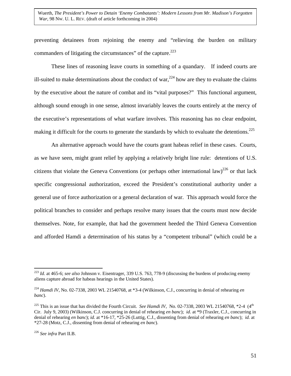preventing detainees from rejoining the enemy and "relieving the burden on military commanders of litigating the circumstances" of the capture. $223$ 

These lines of reasoning leave courts in something of a quandary. If indeed courts are ill-suited to make determinations about the conduct of war,  $224$  how are they to evaluate the claims by the executive about the nature of combat and its "vital purposes?" This functional argument, although sound enough in one sense, almost invariably leaves the courts entirely at the mercy of the executive's representations of what warfare involves. This reasoning has no clear endpoint, making it difficult for the courts to generate the standards by which to evaluate the detentions.<sup>[225](#page-51-2)</sup>

An alternative approach would have the courts grant habeas relief in these cases. Courts, as we have seen, might grant relief by applying a relatively bright line rule: detentions of U.S. citizens that violate the Geneva Conventions (or perhaps other international law)<sup>226</sup> or that lack specific congressional authorization, exceed the President's constitutional authority under a general use of force authorization or a general declaration of war. This approach would force the political branches to consider and perhaps resolve many issues that the courts must now decide themselves. Note, for example, that had the government heeded the Third Geneva Convention and afforded Hamdi a determination of his status by a "competent tribunal" (which could be a

1

<span id="page-51-0"></span><sup>223</sup> *Id.* at 465-6; *see also* Johnson v. Eisentrager, 339 U.S. 763, 778-9 (discussing the burdens of producing enemy aliens capture abroad for habeas hearings in the United States).

<span id="page-51-1"></span><sup>224</sup> *Hamdi IV*, No. 02-7338, 2003 WL 21540768, at \*3-4 (Wilkinson, C.J., concurring in denial of rehearing *en banc*).

<span id="page-51-2"></span><sup>&</sup>lt;sup>225</sup> This is an issue that has divided the Fourth Circuit. *See Hamdi IV*, No. 02-7338, 2003 WL 21540768,  $*2-4$  (4<sup>th</sup>) Cir. July 9, 2003) (Wilkinson, C.J. concurring in denial of rehearing *en banc*); *id*. at \*9 (Traxler, C.J., concurring in denial of rehearing *en banc*); *id.* at \*16-17, \*25-26 (Luttig, C.J., dissenting from denial of rehearing *en banc*); *id.* at \*27-28 (Motz, C.J., dissenting from denial of rehearing *en banc*).

<span id="page-51-3"></span><sup>226</sup> *See infra* Part II.B.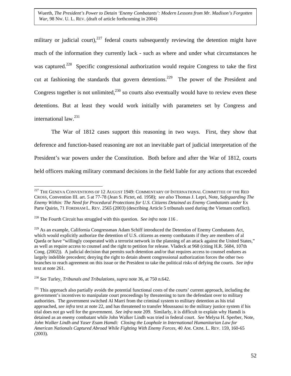military or judicial court),  $227$  federal courts subsequently reviewing the detention might have much of the information they currently lack - such as where and under what circumstances he was captured.<sup>228</sup> Specific congressional authorization would require Congress to take the first cut at fashioning the standards that govern detentions.<sup>229</sup> The power of the President and Congress together is not unlimited,<sup>230</sup> so courts also eventually would have to review even these detentions. But at least they would work initially with parameters set by Congress and international law[.231](#page-52-4)

The War of 1812 cases support this reasoning in two ways. First, they show that deference and function-based reasoning are not an inevitable part of judicial interpretation of the President's war powers under the Constitution. Both before and after the War of 1812, courts held officers making military command decisions in the field liable for any actions that exceeded

<span id="page-52-0"></span> $\overline{a}$  $^{227}$  The Geneva Conventions of 12 August 1949: Commentary of International Committee of the Red CROSS, Convention III. art. 5 at 77-78 (Jean S. Pictet, ed. 1958); *see also* Thomas J. Lepri, Note, *Safeguarding The Enemy Within: The Need for Procedural Protections for U.S. Citizens Detained as Enemy Combatants under* Ex Parte Quirin, 71 FORDHAM L. REV. 2565 (2003) (describing Article 5 tribunals used during the Vietnam conflict).

<span id="page-52-1"></span><sup>&</sup>lt;sup>228</sup> The Fourth Circuit has struggled with this question. *See infra* note 116.

<span id="page-52-2"></span><sup>&</sup>lt;sup>229</sup> As an example, California Congressman Adam Schiff introduced the Detention of Enemy Combatants Act, which would explicitly authorize the detention of U.S. citizens as enemy combatants if they are members of al Qaeda or have "willingly cooperated with a terrorist network in the planning of an attack against the United States," as well as require access to counsel and the right to petition for release. Vladeck at 968 (citing H.R. 5684, 107th Cong. (2002)). A judicial decision that permits such detention and/or that requires access to counsel endures as largely indelible precedent; denying the right to detain absent congressional authorization forces the other two branches to reach agreement on this issue or the President to take the political risks of defying the courts. *See infra* text at note 261.

<span id="page-52-3"></span><sup>230</sup> *See* Turley, *Tribunals and Tribulations*, *supra* note 36, at 750 n.642.

<span id="page-52-4"></span> $^{231}$  This approach also partially avoids the potential functional costs of the courts' current approach, including the government's incentives to manipulate court proceedings by threatening to turn the defendant over to military authorities. The government switched Al Marri from the criminal system to military detention as his trial approached, *see infra* text at note 22, and has threatened to transfer Moussaoui to the military justice system if his trial does not go well for the government. *See infra* note 209. Similarly, it is difficult to explain why Hamdi is detained as an enemy combatant while John Walker Lindh was tried in federal court. *See* Melysa H. Sperber, Note, *John Walker Lindh and Yaser Esam Hamdi: Closing the Loophole in International Humanitarian Law for American Nationals Captured Abroad While Fighting With Enemy Forces*, 40 AM. CRIM. L. REV. 159, 160-65 (2003).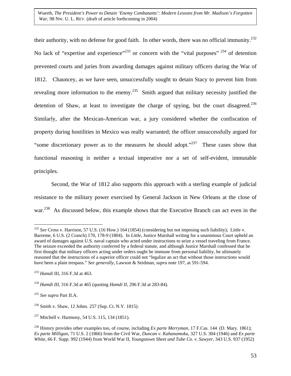<span id="page-53-6"></span>their authority, with no defense for good faith. In other words, there was no official immunity.<sup>232</sup> No lack of "expertise and experience"<sup>233</sup> or concern with the "vital purposes"<sup>234</sup> of detention prevented courts and juries from awarding damages against military officers during the War of 1812. Chauncey, as we have seen, unsuccessfully sought to detain Stacy to prevent him from revealing more information to the enemy.<sup>235</sup> Smith argued that military necessity justified the detention of Shaw, at least to investigate the charge of spying, but the court disagreed.<sup>236</sup> Similarly, after the Mexican-American war, a jury considered whether the confiscation of property during hostilities in Mexico was really warranted; the officer unsuccessfully argued for "some discretionary power as to the measures he should adopt."<sup>237</sup> These cases show that functional reasoning is neither a textual imperative nor a set of self-evident, immutable principles.

Second, the War of 1812 also supports this approach with a sterling example of judicial resistance to the military power exercised by General Jackson in New Orleans at the close of war.<sup>238</sup> As discussed below, this example shows that the Executive Branch can act even in the

<span id="page-53-0"></span><sup>1</sup> <sup>232</sup> *See* Cross v. Harrison, 57 U.S. (16 How.) 164 (1854) (considering but not imposing such liability); Little v. Barreme, 6 U.S. (2 Cranch) 170, 178-9 (1804). In *Little*, Justice Marshall writing for a unanimous Court upheld an award of damages against U.S. naval captain who acted under instructions to seize a vessel traveling from France. The seizure exceeded the authority conferred by a federal statute, and although Justice Marshall confessed that he first thought that military officers acting under orders ought be immune from personal liability, he ultimately reasoned that the instructions of a superior officer could not "legalize an act that without those instructions would have been a plain trespass." *See generally*, Lawson & Seidman, *supra* note 197, at 591-594.

<span id="page-53-1"></span><sup>233</sup> *Hamdi* III, 316 F.3d at 463.

<span id="page-53-2"></span><sup>234</sup> *Hamdi III*, 316 F.3d at 465 (quoting *Hamdi II*, 296 F.3d at 283-84).

<span id="page-53-3"></span><sup>235</sup> *See supra* Part II.A.

<span id="page-53-4"></span><sup>236</sup> Smith v. Shaw, 12 Johns. 257 (Sup. Ct. N.Y. 1815).

<span id="page-53-5"></span><sup>237</sup> Mitchell v. Harmony, 54 U.S. 115, 134 (1851).

<sup>238</sup> History provides other examples too, of course, including *Ex parte Merryman*, 17 F.Cas. 144 (D. Mary. 1861); *Ex parte Milligan*, 71 U.S. 2 (1866) from the Civil War, *Duncan v. Kahanamoku*, 327 U.S. 304 (1946) and *Ex parte White*, 66 F. Supp. 992 (1944) from World War II, *Youngstown Sheet and Tube Co. v. Sawyer*, 343 U.S. 937 (1952)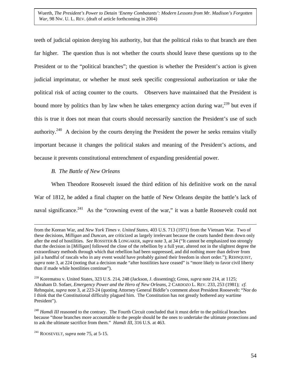teeth of judicial opinion denying his authority, but that the political risks to that branch are then far higher. The question thus is not whether the courts should leave these questions up to the President or to the "political branches"; the question is whether the President's action is given judicial imprimatur, or whether he must seek specific congressional authorization or take the political risk of acting counter to the courts. Observers have maintained that the President is bound more by politics than by law when he takes emergency action during war,  $^{239}$  but even if this is true it does not mean that courts should necessarily sanction the President's use of such authority.<sup>240</sup> A decision by the courts denying the President the power he seeks remains vitally important because it changes the political stakes and meaning of the President's actions, and because it prevents constitutional entrenchment of expanding presidential power.

## *B. The Battle of New Orleans*

When Theodore Roosevelt issued the third edition of his definitive work on the naval War of 1812, he added a final chapter on the battle of New Orleans despite the battle's lack of naval significance.<sup>241</sup> As the "crowning event of the war," it was a battle Roosevelt could not

from the Korean War, and *New York Times v. United States*, 403 U.S. 713 (1971) from the Vietnam War. Two of these decisions, *Milligan* and *Duncan*, are criticized as largely irrelevant because the courts handed them down only after the end of hostilities. *See* ROSSITER & LONGAKER, *supra* note 3, at 34 ("It cannot be emphasized too strongly that the decision in [*Milligan*] followed the close of the rebellion by a full year, altered not in the slightest degree the extraordinary methods through which that rebellion had been suppressed, and did nothing more than deliver from jail a handful of rascals who in any event would have probably gained their freedom in short order."); REHNQUIST, *supra* note 3, at 224 (noting that a decision made "after hostilities have ceased" is "more likely to favor civil liberty than if made while hostilities continue").

<span id="page-54-0"></span><sup>239</sup> Korematsu v. United States, 323 U.S. 214, 248 (Jackson, J. dissenting); Gross, *supra* note 214, at 1125; Abraham D. Sofaer, *Emergency Power and the Hero of New Orleans*, 2 CARDOZO L. REV. 233, 253 (1981); *cf.* Rehnquist, *supra* note 3, at 223-24 (quoting Attorney General Biddle's comment about President Roosevelt: "Nor do I think that the Constitutional difficulty plagued him. The Constitution has not greatly bothered any wartime President").

<span id="page-54-1"></span><sup>&</sup>lt;sup>240</sup> *Hamdi III* reasoned to the contrary. The Fourth Circuit concluded that it must defer to the political branches because "those branches more accountable to the people should be the ones to undertake the ultimate protections and to ask the ultimate sacrifice from them." *Hamdi III*, 316 U.S. at 463.

<span id="page-54-2"></span><sup>241</sup> ROOSEVELT, *supra* note 75, at 5-15.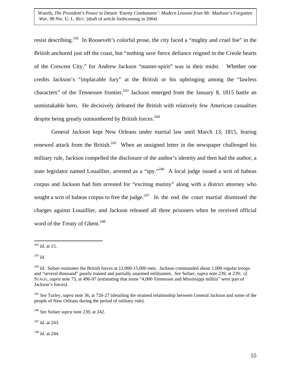resist describing.<sup>242</sup> In Roosevelt's colorful prose, the city faced a "mighty and cruel foe" in the British anchored just off the coast, but "nothing save fierce defiance reigned in the Creole hearts of the Crescent City," for Andrew Jackson "master-spirit" was in their midst. Whether one credits Jackson's "implacable fury" at the British or his upbringing among the "lawless characters" of the Tennessee frontier,  $243$  Jackson emerged from the January 8, 1815 battle an unmistakable hero. He decisively defeated the British with relatively few American casualties despite being greatly outnumbered by British forces.<sup>244</sup>

General Jackson kept New Orleans under martial law until March 13, 1815, fearing renewed attack from the British.<sup>245</sup> When an unsigned letter in the newspaper challenged his military rule, Jackson compelled the disclosure of the author's identity and then had the author, a state legislator named Louaillier, arrested as a "spy."<sup>246</sup> A local judge issued a writ of habeas corpus and Jackson had him arrested for "exciting mutiny" along with a district attorney who sought a writ of habeas corpus to free the judge. $247$  In the end the court martial dismissed the charges against Louaillier, and Jackson released all three prisoners when he received official word of the Treaty of Ghent.<sup>248</sup>

<span id="page-55-5"></span><sup>247</sup> *Id*. at 243.

<span id="page-55-6"></span><sup>248</sup> *Id*. at 244.

<span id="page-55-0"></span> $\overline{a}$ <sup>242</sup> *Id.* at 15.

<span id="page-55-1"></span><sup>243</sup> *Id*.

<span id="page-55-2"></span><sup>&</sup>lt;sup>244</sup> *Id.* Sofaer estimates the British forces at 12,000-15,000 men. Jackson commanded about 1,000 regular troops and "several thousand" poorly trained and partially unarmed militiamen. *See* Sofaer, *supra* note 239, at 239; *cf*. STAGG, *supra* note 75, at 496-97 (estimating that some "4,000 Tennessee and Mississippi militia" were part of Jackson's forces).

<span id="page-55-3"></span><sup>245</sup> *See* Turley, *supra* note 36, at 726-27 (detailing the strained relationship between General Jackson and some of the people of New Orleans during the period of military rule).

<span id="page-55-4"></span><sup>246</sup> *See* Sofaer *supra* note 239, at 242.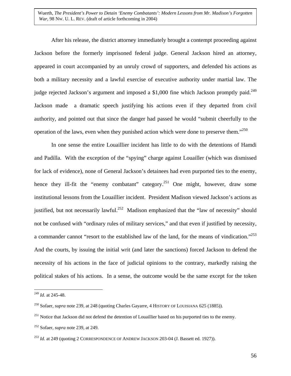After his release, the district attorney immediately brought a contempt proceeding against Jackson before the formerly imprisoned federal judge. General Jackson hired an attorney, appeared in court accompanied by an unruly crowd of supporters, and defended his actions as both a military necessity and a lawful exercise of executive authority under martial law. The judge rejected Jackson's argument and imposed a \$1,000 fine which Jackson promptly paid.<sup>249</sup> Jackson made a dramatic speech justifying his actions even if they departed from civil authority, and pointed out that since the danger had passed he would "submit cheerfully to the operation of the laws, even when they punished action which were done to preserve them. $^{3250}$  $^{3250}$  $^{3250}$ 

In one sense the entire Louaillier incident has little to do with the detentions of Hamdi and Padilla. With the exception of the "spying" charge against Louailler (which was dismissed for lack of evidence), none of General Jackson's detainees had even purported ties to the enemy, hence they ill-fit the "enemy combatant" category.<sup>251</sup> One might, however, draw some institutional lessons from the Louaillier incident. President Madison viewed Jackson's actions as justified, but not necessarily lawful.<sup>252</sup> Madison emphasized that the "law of necessity" should not be confused with "ordinary rules of military services," and that even if justified by necessity, a commander cannot "resort to the established law of the land, for the means of vindication.["253](#page-56-4) And the courts, by issuing the initial writ (and later the sanctions) forced Jackson to defend the necessity of his actions in the face of judicial opinions to the contrary, markedly raising the political stakes of his actions. In a sense, the outcome would be the same except for the token

<span id="page-56-0"></span><sup>249</sup> *Id*. at 245-48.

<span id="page-56-1"></span><sup>250</sup> Sofaer, *supra* note 239, at 248 (quoting Charles Gayarre, 4 HISTORY OF LOUISIANA 625 (1885)).

<span id="page-56-2"></span><sup>&</sup>lt;sup>251</sup> Notice that Jackson did not defend the detention of Louaillier based on his purported ties to the enemy.

<span id="page-56-3"></span><sup>252</sup> Sofaer, *supra* note 239, at 249.

<span id="page-56-4"></span><sup>253</sup> *Id.* at 249 (quoting 2 CORRESPONDENCE OF ANDREW JACKSON 203-04 (J. Bassett ed. 1927)).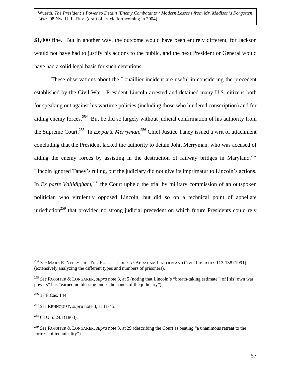\$1,000 fine. But in another way, the outcome would have been entirely different, for Jackson would not have had to justify his actions to the public, and the next President or General would have had a solid legal basis for such detentions.

These observations about the Louaillier incident are useful in considering the precedent established by the Civil War. President Lincoln arrested and detained many U.S. citizens both for speaking out against his wartime policies (including those who hindered conscription) and for aiding enemy forces.<sup>254</sup> But he did so largely without judicial confirmation of his authority from the Supreme Court[.255](#page-57-1) In *Ex parte Merryman*, [256](#page-57-2) Chief Justice Taney issued a writ of attachment concluding that the President lacked the authority to detain John Merryman, who was accused of aiding the enemy forces by assisting in the destruction of railway bridges in Maryland.<sup>257</sup> Lincoln ignored Taney's ruling, but the judiciary did not give its imprimatur to Lincoln's actions. In *Ex parte Vallidigham*<sup>258</sup>, the Court upheld the trial by military commission of an outspoken politician who virulently opposed Lincoln, but did so on a technical point of appellate jurisdiction<sup>259</sup> that provided no strong judicial precedent on which future Presidents could rely

<span id="page-57-0"></span><sup>254</sup> *See* MARK E. NEELY, JR., THE FATE OF LIBERTY: ABRAHAM LINCOLN AND CIVIL LIBERTIES 113-138 (1991) (extensively analyzing the different types and numbers of prisoners).

<span id="page-57-1"></span><sup>255</sup> *See* ROSSITER & LONGAKER, *supra* note 3, at 5 (noting that Lincoln's "breath-taking estimate[] of [his] own war powers" has "earned no blessing under the hands of the judiciary").

<span id="page-57-2"></span> $256$  17 F.Cas. 144.

<span id="page-57-3"></span><sup>257</sup> *See* REHNQUIST, *supra* note 3, at 11-45.

<span id="page-57-4"></span> $258$  68 U.S. 243 (1863).

<span id="page-57-5"></span><sup>259</sup> *See* ROSSITER & LONGAKER, *supra* note 3, at 29 (describing the Court as beating "a unanimous retreat to the fortress of technicality").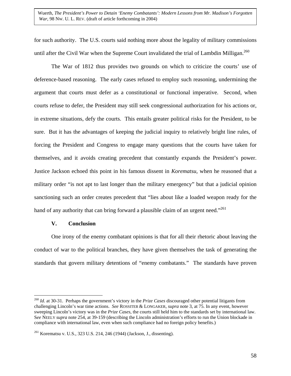for such authority. The U.S. courts said nothing more about the legality of military commissions until after the Civil War when the Supreme Court invalidated the trial of Lambdin Milligan.<sup>260</sup>

The War of 1812 thus provides two grounds on which to criticize the courts' use of deference-based reasoning. The early cases refused to employ such reasoning, undermining the argument that courts must defer as a constitutional or functional imperative. Second, when courts refuse to defer, the President may still seek congressional authorization for his actions or, in extreme situations, defy the courts. This entails greater political risks for the President, to be sure. But it has the advantages of keeping the judicial inquiry to relatively bright line rules, of forcing the President and Congress to engage many questions that the courts have taken for themselves, and it avoids creating precedent that constantly expands the President's power. Justice Jackson echoed this point in his famous dissent in *Korematsu*, when he reasoned that a military order "is not apt to last longer than the military emergency" but that a judicial opinion sanctioning such an order creates precedent that "lies about like a loaded weapon ready for the hand of any authority that can bring forward a plausible claim of an urgent need.<sup> $261$ </sup>

### **V. Conclusion**

 $\overline{a}$ 

One irony of the enemy combatant opinions is that for all their rhetoric about leaving the conduct of war to the political branches, they have given themselves the task of generating the standards that govern military detentions of "enemy combatants." The standards have proven

<span id="page-58-0"></span><sup>260</sup> *Id.* at 30-31. Perhaps the government's victory in the *Prize Cases* discouraged other potential litigants from challenging Lincoln's war time actions. *See* ROSSITER & LONGAKER, *supra* note 3, at 75. In any event, however sweeping Lincoln's victory was in the *Prize Cases*, the courts still held him to the standards set by international law. S*ee* NEELY *supra* note 254, at 39-159 (describing the Lincoln administration's efforts to run the Union blockade in compliance with international law, even when such compliance had no foreign policy benefits.)

<span id="page-58-1"></span><sup>261</sup> Korematsu v. U.S., 323 U.S. 214, 246 (1944) (Jackson, J., dissenting).